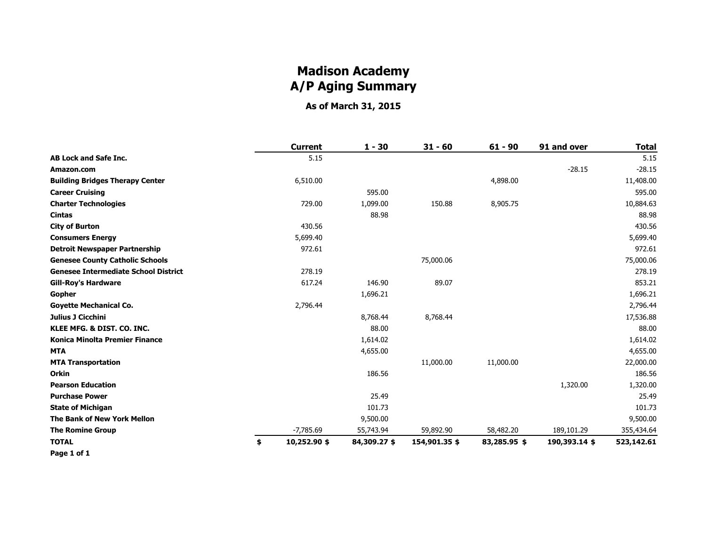## **Madison Academy A/P Aging Summary**

**As of March 31, 2015**

|                                             | <b>Current</b>     | $1 - 30$     | $31 - 60$     | $61 - 90$    | 91 and over   | <b>Total</b> |
|---------------------------------------------|--------------------|--------------|---------------|--------------|---------------|--------------|
| <b>AB Lock and Safe Inc.</b>                | 5.15               |              |               |              |               | 5.15         |
| Amazon.com                                  |                    |              |               |              | $-28.15$      | $-28.15$     |
| <b>Building Bridges Therapy Center</b>      | 6,510.00           |              |               | 4,898.00     |               | 11,408.00    |
| <b>Career Cruising</b>                      |                    | 595.00       |               |              |               | 595.00       |
| <b>Charter Technologies</b>                 | 729.00             | 1,099.00     | 150.88        | 8,905.75     |               | 10,884.63    |
| <b>Cintas</b>                               |                    | 88.98        |               |              |               | 88.98        |
| <b>City of Burton</b>                       | 430.56             |              |               |              |               | 430.56       |
| <b>Consumers Energy</b>                     | 5,699.40           |              |               |              |               | 5,699.40     |
| <b>Detroit Newspaper Partnership</b>        | 972.61             |              |               |              |               | 972.61       |
| <b>Genesee County Catholic Schools</b>      |                    |              | 75,000.06     |              |               | 75,000.06    |
| <b>Genesee Intermediate School District</b> | 278.19             |              |               |              |               | 278.19       |
| <b>Gill-Roy's Hardware</b>                  | 617.24             | 146.90       | 89.07         |              |               | 853.21       |
| Gopher                                      |                    | 1,696.21     |               |              |               | 1,696.21     |
| <b>Govette Mechanical Co.</b>               | 2,796.44           |              |               |              |               | 2,796.44     |
| Julius J Cicchini                           |                    | 8,768.44     | 8,768.44      |              |               | 17,536.88    |
| KLEE MFG. & DIST. CO. INC.                  |                    | 88.00        |               |              |               | 88.00        |
| <b>Konica Minolta Premier Finance</b>       |                    | 1,614.02     |               |              |               | 1,614.02     |
| <b>MTA</b>                                  |                    | 4,655.00     |               |              |               | 4,655.00     |
| <b>MTA Transportation</b>                   |                    |              | 11,000.00     | 11,000.00    |               | 22,000.00    |
| Orkin                                       |                    | 186.56       |               |              |               | 186.56       |
| <b>Pearson Education</b>                    |                    |              |               |              | 1,320.00      | 1,320.00     |
| <b>Purchase Power</b>                       |                    | 25.49        |               |              |               | 25.49        |
| <b>State of Michigan</b>                    |                    | 101.73       |               |              |               | 101.73       |
| The Bank of New York Mellon                 |                    | 9,500.00     |               |              |               | 9,500.00     |
| <b>The Romine Group</b>                     | $-7,785.69$        | 55,743.94    | 59,892.90     | 58,482.20    | 189,101.29    | 355,434.64   |
| <b>TOTAL</b>                                | \$<br>10,252.90 \$ | 84,309.27 \$ | 154,901.35 \$ | 83,285.95 \$ | 190,393.14 \$ | 523,142.61   |
| Page 1 of 1                                 |                    |              |               |              |               |              |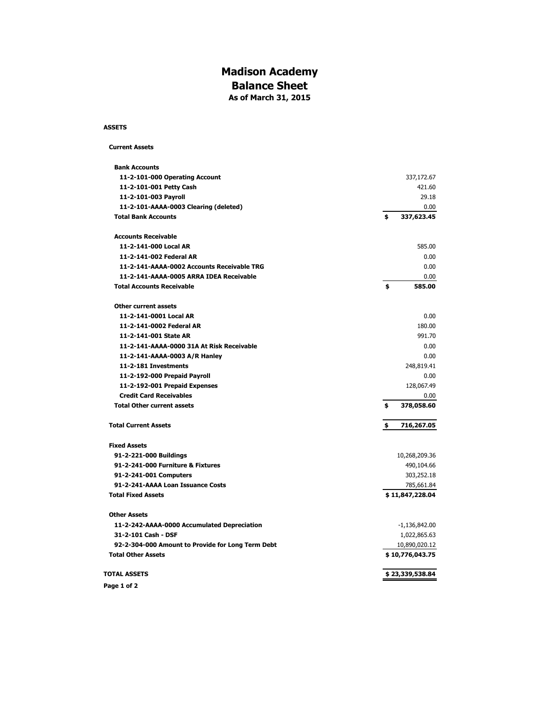#### **Madison Academy Balance Sheet As of March 31, 2015**

#### **ASSETS**

#### **Current Assets**

| <b>Bank Accounts</b>                              |                  |
|---------------------------------------------------|------------------|
| 11-2-101-000 Operating Account                    | 337,172.67       |
| 11-2-101-001 Petty Cash                           | 421.60           |
| 11-2-101-003 Payroll                              | 29.18            |
| 11-2-101-AAAA-0003 Clearing (deleted)             | 0.00             |
| <b>Total Bank Accounts</b>                        | \$<br>337,623.45 |
| <b>Accounts Receivable</b>                        |                  |
| 11-2-141-000 Local AR                             | 585.00           |
| 11-2-141-002 Federal AR                           | 0.00             |
| 11-2-141-AAAA-0002 Accounts Receivable TRG        | 0.00             |
| 11-2-141-AAAA-0005 ARRA IDEA Receivable           | 0.00             |
| <b>Total Accounts Receivable</b>                  | \$<br>585.00     |
| <b>Other current assets</b>                       |                  |
| 11-2-141-0001 Local AR                            | 0.00             |
| 11-2-141-0002 Federal AR                          | 180.00           |
| 11-2-141-001 State AR                             | 991.70           |
| 11-2-141-AAAA-0000 31A At Risk Receivable         | 0.00             |
| 11-2-141-AAAA-0003 A/R Hanley                     | 0.00             |
| 11-2-181 Investments                              | 248,819.41       |
| 11-2-192-000 Prepaid Payroll                      | 0.00             |
| 11-2-192-001 Prepaid Expenses                     | 128,067.49       |
| <b>Credit Card Receivables</b>                    | 0.00             |
| <b>Total Other current assets</b>                 | \$<br>378,058.60 |
| <b>Total Current Assets</b>                       | \$<br>716,267.05 |
| <b>Fixed Assets</b>                               |                  |
| 91-2-221-000 Buildings                            | 10,268,209.36    |
| 91-2-241-000 Furniture & Fixtures                 | 490,104.66       |
| 91-2-241-001 Computers                            | 303,252.18       |
| 91-2-241-AAAA Loan Issuance Costs                 | 785,661.84       |
| <b>Total Fixed Assets</b>                         | \$11,847,228.04  |
| <b>Other Assets</b>                               |                  |
| 11-2-242-AAAA-0000 Accumulated Depreciation       | $-1,136,842.00$  |
| 31-2-101 Cash - DSF                               | 1,022,865.63     |
| 92-2-304-000 Amount to Provide for Long Term Debt | 10,890,020.12    |
| <b>Total Other Assets</b>                         | \$10,776,043.75  |
| <b>TOTAL ASSETS</b>                               | \$23,339,538.84  |
| Page 1 of 2                                       |                  |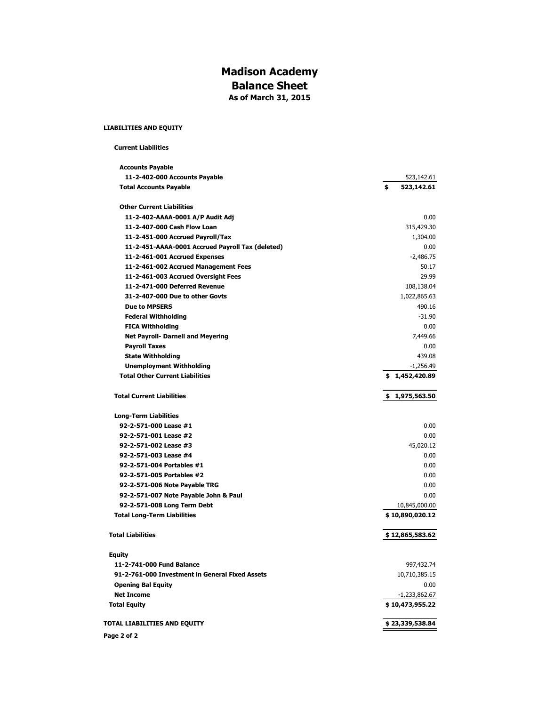#### **Madison Academy Balance Sheet As of March 31, 2015**

#### **LIABILITIES AND EQUITY**

 **Current Liabilities**

| <b>Accounts Payable</b>                          |                  |
|--------------------------------------------------|------------------|
| 11-2-402-000 Accounts Payable                    | 523,142.61       |
| <b>Total Accounts Payable</b>                    | \$<br>523,142.61 |
| <b>Other Current Liabilities</b>                 |                  |
| 11-2-402-AAAA-0001 A/P Audit Adj                 | 0.00             |
| 11-2-407-000 Cash Flow Loan                      | 315,429.30       |
| 11-2-451-000 Accrued Payroll/Tax                 | 1,304.00         |
| 11-2-451-AAAA-0001 Accrued Payroll Tax (deleted) | 0.00             |
| 11-2-461-001 Accrued Expenses                    | $-2,486.75$      |
| 11-2-461-002 Accrued Management Fees             | 50.17            |
| 11-2-461-003 Accrued Oversight Fees              | 29.99            |
| 11-2-471-000 Deferred Revenue                    | 108,138.04       |
| 31-2-407-000 Due to other Govts                  | 1,022,865.63     |
| <b>Due to MPSERS</b>                             | 490.16           |
| <b>Federal Withholding</b>                       | $-31.90$         |
| <b>FICA Withholding</b>                          | 0.00             |
| <b>Net Payroll- Darnell and Meyering</b>         | 7,449.66         |
| <b>Payroll Taxes</b>                             | 0.00             |
| <b>State Withholding</b>                         | 439.08           |
| <b>Unemployment Withholding</b>                  | $-1,256.49$      |
| <b>Total Other Current Liabilities</b>           | \$1,452,420.89   |
| <b>Total Current Liabilities</b>                 | \$1,975,563.50   |
| <b>Long-Term Liabilities</b>                     |                  |
| 92-2-571-000 Lease #1                            | 0.00             |
| 92-2-571-001 Lease #2                            | 0.00             |
| 92-2-571-002 Lease #3                            | 45,020.12        |
| 92-2-571-003 Lease #4                            | 0.00             |
| 92-2-571-004 Portables #1                        | 0.00             |
| 92-2-571-005 Portables #2                        | 0.00             |
| 92-2-571-006 Note Payable TRG                    | 0.00             |
| 92-2-571-007 Note Payable John & Paul            | 0.00             |
| 92-2-571-008 Long Term Debt                      | 10,845,000.00    |
| <b>Total Long-Term Liabilities</b>               | \$10,890,020.12  |
| <b>Total Liabilities</b>                         | \$12,865,583.62  |
| <b>Equity</b>                                    |                  |
| 11-2-741-000 Fund Balance                        | 997,432.74       |
| 91-2-761-000 Investment in General Fixed Assets  | 10,710,385.15    |
| <b>Opening Bal Equity</b>                        | 0.00             |
| <b>Net Income</b>                                | $-1,233,862.67$  |
| <b>Total Equity</b>                              | \$10,473,955.22  |
| TOTAL LIABILITIES AND EQUITY                     | \$23,339,538.84  |
| Page 2 of 2                                      |                  |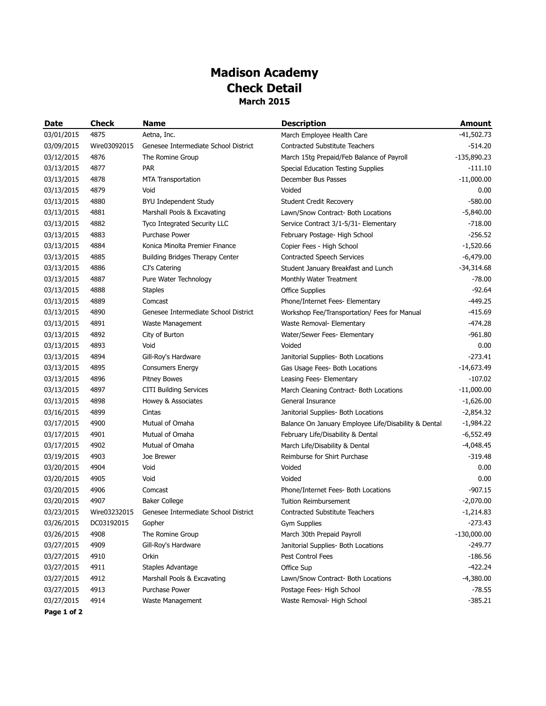## **Madison Academy Check Detail March 2015**

| <b>Date</b> | <b>Check</b> | <b>Name</b>                          | <b>Description</b>                                   | <b>Amount</b> |
|-------------|--------------|--------------------------------------|------------------------------------------------------|---------------|
| 03/01/2015  | 4875         | Aetna, Inc.                          | March Employee Health Care                           | $-41,502.73$  |
| 03/09/2015  | Wire03092015 | Genesee Intermediate School District | <b>Contracted Substitute Teachers</b>                | $-514.20$     |
| 03/12/2015  | 4876         | The Romine Group                     | March 15tg Prepaid/Feb Balance of Payroll            | $-135,890.23$ |
| 03/13/2015  | 4877         | <b>PAR</b>                           | Special Education Testing Supplies                   | $-111.10$     |
| 03/13/2015  | 4878         | <b>MTA Transportation</b>            | December Bus Passes                                  | $-11,000.00$  |
| 03/13/2015  | 4879         | Void                                 | Voided                                               | 0.00          |
| 03/13/2015  | 4880         | <b>BYU Independent Study</b>         | Student Credit Recovery                              | $-580.00$     |
| 03/13/2015  | 4881         | Marshall Pools & Excavating          | Lawn/Snow Contract- Both Locations                   | $-5,840.00$   |
| 03/13/2015  | 4882         | Tyco Integrated Security LLC         | Service Contract 3/1-5/31- Elementary                | $-718.00$     |
| 03/13/2015  | 4883         | Purchase Power                       | February Postage- High School                        | $-256.52$     |
| 03/13/2015  | 4884         | Konica Minolta Premier Finance       | Copier Fees - High School                            | $-1,520.66$   |
| 03/13/2015  | 4885         | Building Bridges Therapy Center      | Contracted Speech Services                           | $-6,479.00$   |
| 03/13/2015  | 4886         | CJ's Catering                        | Student January Breakfast and Lunch                  | $-34,314.68$  |
| 03/13/2015  | 4887         | Pure Water Technology                | Monthly Water Treatment                              | $-78.00$      |
| 03/13/2015  | 4888         | <b>Staples</b>                       | <b>Office Supplies</b>                               | $-92.64$      |
| 03/13/2015  | 4889         | Comcast                              | Phone/Internet Fees- Elementary                      | $-449.25$     |
| 03/13/2015  | 4890         | Genesee Intermediate School District | Workshop Fee/Transportation/ Fees for Manual         | $-415.69$     |
| 03/13/2015  | 4891         | Waste Management                     | Waste Removal- Elementary                            | $-474.28$     |
| 03/13/2015  | 4892         | City of Burton                       | Water/Sewer Fees- Elementary                         | $-961.80$     |
| 03/13/2015  | 4893         | Void                                 | Voided                                               | 0.00          |
| 03/13/2015  | 4894         | Gill-Roy's Hardware                  | Janitorial Supplies- Both Locations                  | $-273.41$     |
| 03/13/2015  | 4895         | <b>Consumers Energy</b>              | Gas Usage Fees- Both Locations                       | $-14,673.49$  |
| 03/13/2015  | 4896         | <b>Pitney Bowes</b>                  | Leasing Fees- Elementary                             | $-107.02$     |
| 03/13/2015  | 4897         | <b>CITI Building Services</b>        | March Cleaning Contract- Both Locations              | $-11,000.00$  |
| 03/13/2015  | 4898         | Howey & Associates                   | General Insurance                                    | $-1,626.00$   |
| 03/16/2015  | 4899         | Cintas                               | Janitorial Supplies- Both Locations                  | $-2,854.32$   |
| 03/17/2015  | 4900         | Mutual of Omaha                      | Balance On January Employee Life/Disability & Dental | $-1,984.22$   |
| 03/17/2015  | 4901         | Mutual of Omaha                      | February Life/Disability & Dental                    | $-6,552.49$   |
| 03/17/2015  | 4902         | Mutual of Omaha                      | March Life/Disability & Dental                       | $-4,048.45$   |
| 03/19/2015  | 4903         | Joe Brewer                           | Reimburse for Shirt Purchase                         | $-319.48$     |
| 03/20/2015  | 4904         | Void                                 | Voided                                               | 0.00          |
| 03/20/2015  | 4905         | Void                                 | Voided                                               | 0.00          |
| 03/20/2015  | 4906         | Comcast                              | Phone/Internet Fees- Both Locations                  | $-907.15$     |
| 03/20/2015  | 4907         | <b>Baker College</b>                 | <b>Tuition Reimbursement</b>                         | $-2,070.00$   |
| 03/23/2015  | Wire03232015 | Genesee Intermediate School District | <b>Contracted Substitute Teachers</b>                | $-1,214.83$   |
| 03/26/2015  | DC03192015   | Gopher                               | <b>Gym Supplies</b>                                  | $-273.43$     |
| 03/26/2015  | 4908         | The Romine Group                     | March 30th Prepaid Payroll                           | $-130,000.00$ |
| 03/27/2015  | 4909         | Gill-Roy's Hardware                  | Janitorial Supplies- Both Locations                  | $-249.77$     |
| 03/27/2015  | 4910         | Orkin                                | Pest Control Fees                                    | $-186.56$     |
| 03/27/2015  | 4911         | Staples Advantage                    | Office Sup                                           | $-422.24$     |
| 03/27/2015  | 4912         | Marshall Pools & Excavating          | Lawn/Snow Contract- Both Locations                   | $-4,380.00$   |
| 03/27/2015  | 4913         | Purchase Power                       | Postage Fees- High School                            | $-78.55$      |
| 03/27/2015  | 4914         | Waste Management                     | Waste Removal- High School                           | $-385.21$     |

**Page 1 of 2**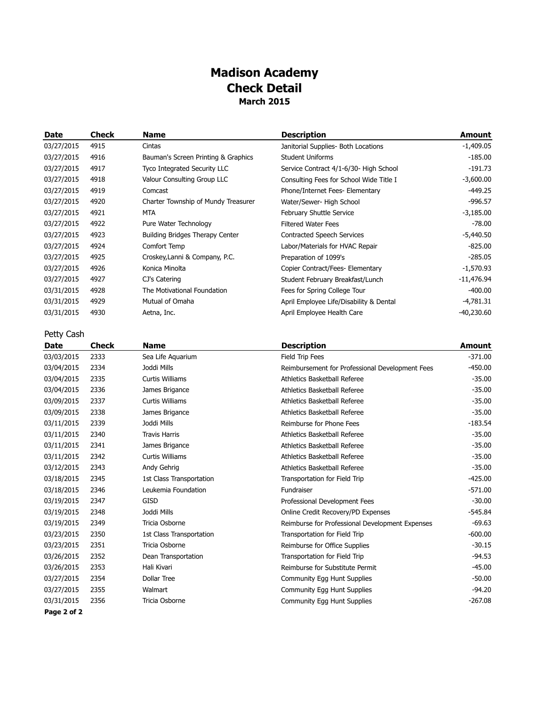## **Madison Academy Check Detail March 2015**

| Date       | Check | <b>Name</b>                         | <b>Description</b>                      | Amount       |
|------------|-------|-------------------------------------|-----------------------------------------|--------------|
| 03/27/2015 | 4915  | Cintas                              | Janitorial Supplies- Both Locations     | $-1,409.05$  |
| 03/27/2015 | 4916  | Bauman's Screen Printing & Graphics | <b>Student Uniforms</b>                 | $-185.00$    |
| 03/27/2015 | 4917  | Tyco Integrated Security LLC        | Service Contract 4/1-6/30- High School  | $-191.73$    |
| 03/27/2015 | 4918  | Valour Consulting Group LLC         | Consulting Fees for School Wide Title I | $-3,600.00$  |
| 03/27/2015 | 4919  | Comcast                             | Phone/Internet Fees- Elementary         | $-449.25$    |
| 03/27/2015 | 4920  | Charter Township of Mundy Treasurer | Water/Sewer- High School                | $-996.57$    |
| 03/27/2015 | 4921  | MTA                                 | February Shuttle Service                | $-3,185.00$  |
| 03/27/2015 | 4922  | Pure Water Technology               | <b>Filtered Water Fees</b>              | $-78.00$     |
| 03/27/2015 | 4923  | Building Bridges Therapy Center     | <b>Contracted Speech Services</b>       | $-5,440.50$  |
| 03/27/2015 | 4924  | Comfort Temp                        | Labor/Materials for HVAC Repair         | $-825.00$    |
| 03/27/2015 | 4925  | Croskey, Lanni & Company, P.C.      | Preparation of 1099's                   | $-285.05$    |
| 03/27/2015 | 4926  | Konica Minolta                      | Copier Contract/Fees- Elementary        | $-1,570.93$  |
| 03/27/2015 | 4927  | CJ's Catering                       | Student February Breakfast/Lunch        | $-11,476.94$ |
| 03/31/2015 | 4928  | The Motivational Foundation         | Fees for Spring College Tour            | $-400.00$    |
| 03/31/2015 | 4929  | Mutual of Omaha                     | April Employee Life/Disability & Dental | $-4,781.31$  |
| 03/31/2015 | 4930  | Aetna, Inc.                         | April Employee Health Care              | -40,230.60   |

Petty Cash

| Date        | <b>Check</b> | <b>Name</b>              | <b>Description</b>                              | <b>Amount</b> |
|-------------|--------------|--------------------------|-------------------------------------------------|---------------|
| 03/03/2015  | 2333         | Sea Life Aquarium        | Field Trip Fees                                 | $-371.00$     |
| 03/04/2015  | 2334         | Joddi Mills              | Reimbursement for Professional Development Fees | $-450.00$     |
| 03/04/2015  | 2335         | <b>Curtis Williams</b>   | Athletics Basketball Referee                    | $-35.00$      |
| 03/04/2015  | 2336         | James Brigance           | Athletics Basketball Referee                    | $-35.00$      |
| 03/09/2015  | 2337         | <b>Curtis Williams</b>   | Athletics Basketball Referee                    | $-35.00$      |
| 03/09/2015  | 2338         | James Brigance           | Athletics Basketball Referee                    | $-35.00$      |
| 03/11/2015  | 2339         | Joddi Mills              | Reimburse for Phone Fees                        | $-183.54$     |
| 03/11/2015  | 2340         | <b>Travis Harris</b>     | Athletics Basketball Referee                    | $-35.00$      |
| 03/11/2015  | 2341         | James Brigance           | Athletics Basketball Referee                    | $-35.00$      |
| 03/11/2015  | 2342         | <b>Curtis Williams</b>   | <b>Athletics Basketball Referee</b>             | $-35.00$      |
| 03/12/2015  | 2343         | Andy Gehrig              | Athletics Basketball Referee                    | $-35.00$      |
| 03/18/2015  | 2345         | 1st Class Transportation | Transportation for Field Trip                   | $-425.00$     |
| 03/18/2015  | 2346         | Leukemia Foundation      | Fundraiser                                      | $-571.00$     |
| 03/19/2015  | 2347         | <b>GISD</b>              | Professional Development Fees                   | $-30.00$      |
| 03/19/2015  | 2348         | Joddi Mills              | Online Credit Recovery/PD Expenses              | $-545.84$     |
| 03/19/2015  | 2349         | Tricia Osborne           | Reimburse for Professional Development Expenses | $-69.63$      |
| 03/23/2015  | 2350         | 1st Class Transportation | Transportation for Field Trip                   | $-600.00$     |
| 03/23/2015  | 2351         | Tricia Osborne           | Reimburse for Office Supplies                   | $-30.15$      |
| 03/26/2015  | 2352         | Dean Transportation      | Transportation for Field Trip                   | $-94.53$      |
| 03/26/2015  | 2353         | Hali Kivari              | Reimburse for Substitute Permit                 | $-45.00$      |
| 03/27/2015  | 2354         | <b>Dollar Tree</b>       | <b>Community Egg Hunt Supplies</b>              | $-50.00$      |
| 03/27/2015  | 2355         | Walmart                  | <b>Community Egg Hunt Supplies</b>              | $-94.20$      |
| 03/31/2015  | 2356         | Tricia Osborne           | Community Egg Hunt Supplies                     | $-267.08$     |
| Page 2 of 2 |              |                          |                                                 |               |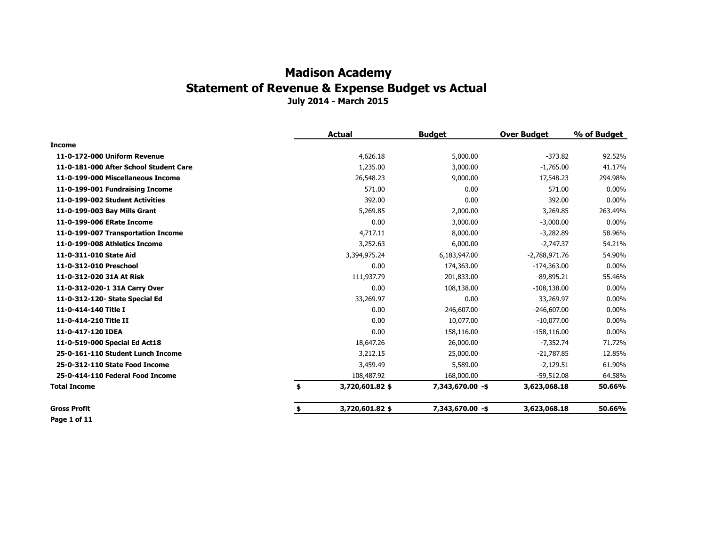|                                        | <b>Actual</b>         | <b>Budget</b>    | <b>Over Budget</b> | % of Budget |
|----------------------------------------|-----------------------|------------------|--------------------|-------------|
| Income                                 |                       |                  |                    |             |
| 11-0-172-000 Uniform Revenue           | 4,626.18              | 5,000.00         | $-373.82$          | 92.52%      |
| 11-0-181-000 After School Student Care | 1,235.00              | 3,000.00         | $-1,765.00$        | 41.17%      |
| 11-0-199-000 Miscellaneous Income      | 26,548.23             | 9,000.00         | 17,548.23          | 294.98%     |
| 11-0-199-001 Fundraising Income        | 571.00                | 0.00             | 571.00             | $0.00\%$    |
| 11-0-199-002 Student Activities        | 392.00                | 0.00             | 392.00             | $0.00\%$    |
| 11-0-199-003 Bay Mills Grant           | 5,269.85              | 2,000.00         | 3,269.85           | 263.49%     |
| 11-0-199-006 ERate Income              | 0.00                  | 3,000.00         | $-3,000.00$        | $0.00\%$    |
| 11-0-199-007 Transportation Income     | 4,717.11              | 8,000.00         | $-3,282.89$        | 58.96%      |
| 11-0-199-008 Athletics Income          | 3,252.63              | 6,000.00         | $-2,747.37$        | 54.21%      |
| 11-0-311-010 State Aid                 | 3,394,975.24          | 6,183,947.00     | $-2,788,971.76$    | 54.90%      |
| 11-0-312-010 Preschool                 | 0.00                  | 174,363.00       | $-174,363.00$      | $0.00\%$    |
| 11-0-312-020 31A At Risk               | 111,937.79            | 201,833.00       | $-89,895.21$       | 55.46%      |
| 11-0-312-020-1 31A Carry Over          | 0.00                  | 108,138.00       | $-108, 138.00$     | $0.00\%$    |
| 11-0-312-120- State Special Ed         | 33,269.97             | 0.00             | 33,269.97          | $0.00\%$    |
| 11-0-414-140 Title I                   | 0.00                  | 246,607.00       | $-246,607.00$      | $0.00\%$    |
| 11-0-414-210 Title II                  | 0.00                  | 10,077.00        | $-10,077.00$       | 0.00%       |
| 11-0-417-120 IDEA                      | 0.00                  | 158,116.00       | $-158, 116.00$     | 0.00%       |
| 11-0-519-000 Special Ed Act18          | 18,647.26             | 26,000.00        | $-7,352.74$        | 71.72%      |
| 25-0-161-110 Student Lunch Income      | 3,212.15              | 25,000.00        | $-21,787.85$       | 12.85%      |
| 25-0-312-110 State Food Income         | 3,459.49              | 5,589.00         | $-2,129.51$        | 61.90%      |
| 25-0-414-110 Federal Food Income       | 108,487.92            | 168,000.00       | $-59,512.08$       | 64.58%      |
| Total Income                           | \$<br>3,720,601.82 \$ | 7,343,670.00 -\$ | 3,623,068.18       | 50.66%      |
| <b>Gross Profit</b>                    | \$<br>3,720,601.82 \$ | 7,343,670.00 -\$ | 3,623,068.18       | 50.66%      |

**Page 1 of 11**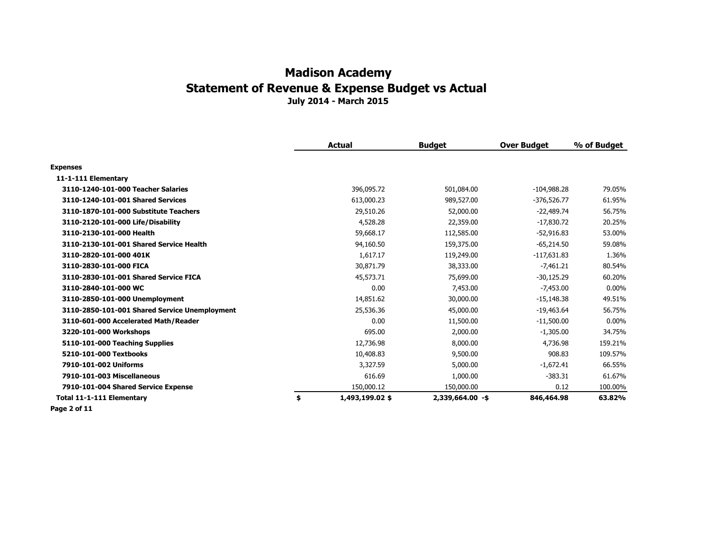|                                               | <b>Actual</b>         | <b>Budget</b>    | <b>Over Budget</b> | % of Budget |
|-----------------------------------------------|-----------------------|------------------|--------------------|-------------|
| <b>Expenses</b>                               |                       |                  |                    |             |
| 11-1-111 Elementary                           |                       |                  |                    |             |
| 3110-1240-101-000 Teacher Salaries            | 396,095.72            | 501,084.00       | $-104,988.28$      | 79.05%      |
| 3110-1240-101-001 Shared Services             | 613,000.23            | 989,527.00       | $-376,526.77$      | 61.95%      |
| 3110-1870-101-000 Substitute Teachers         | 29,510.26             | 52,000.00        | $-22,489.74$       | 56.75%      |
| 3110-2120-101-000 Life/Disability             | 4,528.28              | 22,359.00        | $-17,830.72$       | 20.25%      |
| 3110-2130-101-000 Health                      | 59,668.17             | 112,585.00       | $-52,916.83$       | 53.00%      |
| 3110-2130-101-001 Shared Service Health       | 94,160.50             | 159,375.00       | $-65,214.50$       | 59.08%      |
| 3110-2820-101-000 401K                        | 1,617.17              | 119,249.00       | $-117,631.83$      | 1.36%       |
| 3110-2830-101-000 FICA                        | 30,871.79             | 38,333.00        | $-7,461.21$        | 80.54%      |
| 3110-2830-101-001 Shared Service FICA         | 45,573.71             | 75,699.00        | $-30,125.29$       | 60.20%      |
| 3110-2840-101-000 WC                          | 0.00                  | 7,453.00         | $-7,453.00$        | $0.00\%$    |
| 3110-2850-101-000 Unemployment                | 14,851.62             | 30,000.00        | $-15,148.38$       | 49.51%      |
| 3110-2850-101-001 Shared Service Unemployment | 25,536.36             | 45,000.00        | $-19,463.64$       | 56.75%      |
| 3110-601-000 Accelerated Math/Reader          | 0.00                  | 11,500.00        | $-11,500.00$       | $0.00\%$    |
| 3220-101-000 Workshops                        | 695.00                | 2,000.00         | $-1,305.00$        | 34.75%      |
| 5110-101-000 Teaching Supplies                | 12,736.98             | 8,000.00         | 4,736.98           | 159.21%     |
| 5210-101-000 Textbooks                        | 10,408.83             | 9,500.00         | 908.83             | 109.57%     |
| 7910-101-002 Uniforms                         | 3,327.59              | 5,000.00         | $-1,672.41$        | 66.55%      |
| 7910-101-003 Miscellaneous                    | 616.69                | 1,000.00         | $-383.31$          | 61.67%      |
| 7910-101-004 Shared Service Expense           | 150,000.12            | 150,000.00       | 0.12               | 100.00%     |
| Total 11-1-111 Elementary                     | \$<br>1,493,199.02 \$ | 2,339,664.00 -\$ | 846,464.98         | 63.82%      |

**Page 2 of 11**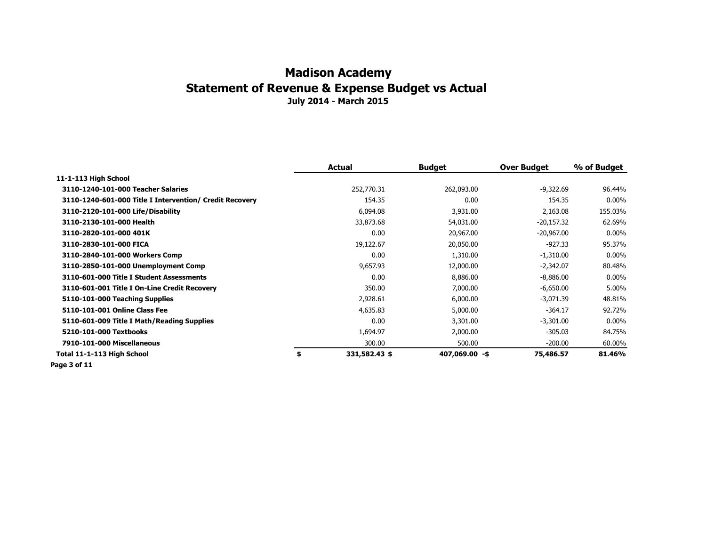|                                                         | Actual              | <b>Budget</b>  | <b>Over Budget</b> | % of Budget |
|---------------------------------------------------------|---------------------|----------------|--------------------|-------------|
| 11-1-113 High School                                    |                     |                |                    |             |
| 3110-1240-101-000 Teacher Salaries                      | 252,770.31          | 262,093.00     | $-9,322.69$        | 96.44%      |
| 3110-1240-601-000 Title I Intervention/ Credit Recovery | 154.35              | 0.00           | 154.35             | $0.00\%$    |
| 3110-2120-101-000 Life/Disability                       | 6,094.08            | 3,931.00       | 2,163.08           | 155.03%     |
| 3110-2130-101-000 Health                                | 33,873.68           | 54,031.00      | $-20,157.32$       | 62.69%      |
| 3110-2820-101-000 401K                                  | 0.00                | 20,967.00      | $-20,967.00$       | $0.00\%$    |
| 3110-2830-101-000 FICA                                  | 19,122.67           | 20,050.00      | $-927.33$          | 95.37%      |
| 3110-2840-101-000 Workers Comp                          | 0.00                | 1,310.00       | $-1,310.00$        | $0.00\%$    |
| 3110-2850-101-000 Unemployment Comp                     | 9,657.93            | 12,000.00      | $-2,342.07$        | 80.48%      |
| 3110-601-000 Title I Student Assessments                | 0.00                | 8,886.00       | $-8,886.00$        | $0.00\%$    |
| 3110-601-001 Title I On-Line Credit Recovery            | 350.00              | 7,000.00       | $-6,650.00$        | 5.00%       |
| 5110-101-000 Teaching Supplies                          | 2,928.61            | 6,000.00       | $-3,071.39$        | 48.81%      |
| 5110-101-001 Online Class Fee                           | 4,635.83            | 5,000.00       | $-364.17$          | 92.72%      |
| 5110-601-009 Title I Math/Reading Supplies              | 0.00                | 3,301.00       | $-3,301.00$        | $0.00\%$    |
| 5210-101-000 Textbooks                                  | 1,694.97            | 2,000.00       | $-305.03$          | 84.75%      |
| 7910-101-000 Miscellaneous                              | 300.00              | 500.00         | $-200.00$          | 60.00%      |
| Total 11-1-113 High School                              | \$<br>331,582.43 \$ | 407,069.00 -\$ | 75,486.57          | 81.46%      |

**Page 3 of 11**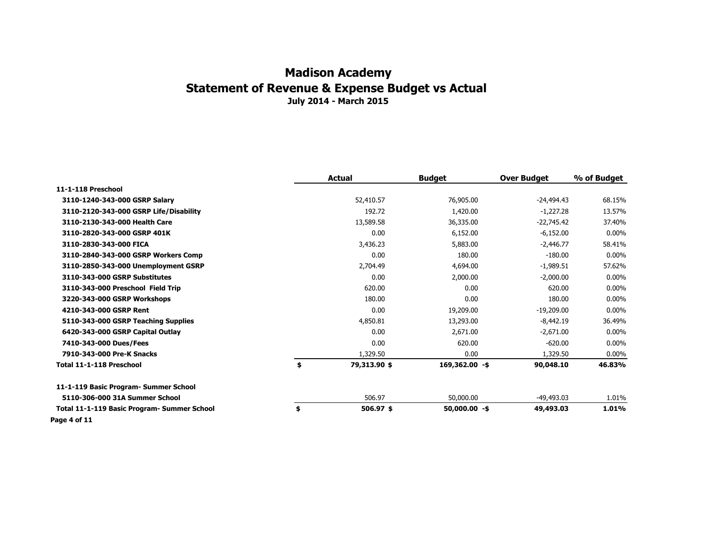|                                             | <b>Actual</b>      | <b>Budget</b>    | <b>Over Budget</b> | % of Budget |
|---------------------------------------------|--------------------|------------------|--------------------|-------------|
| 11-1-118 Preschool                          |                    |                  |                    |             |
| 3110-1240-343-000 GSRP Salary               | 52,410.57          | 76,905.00        | $-24,494.43$       | 68.15%      |
| 3110-2120-343-000 GSRP Life/Disability      | 192.72             | 1,420.00         | $-1,227.28$        | 13.57%      |
| 3110-2130-343-000 Health Care               | 13,589.58          | 36,335.00        | $-22,745.42$       | 37.40%      |
| 3110-2820-343-000 GSRP 401K                 | 0.00               | 6,152.00         | $-6,152.00$        | $0.00\%$    |
| 3110-2830-343-000 FICA                      | 3,436.23           | 5,883.00         | $-2,446.77$        | 58.41%      |
| 3110-2840-343-000 GSRP Workers Comp         | 0.00               | 180.00           | $-180.00$          | $0.00\%$    |
| 3110-2850-343-000 Unemployment GSRP         | 2,704.49           | 4,694.00         | $-1,989.51$        | 57.62%      |
| 3110-343-000 GSRP Substitutes               | 0.00               | 2,000.00         | $-2,000.00$        | $0.00\%$    |
| 3110-343-000 Preschool Field Trip           | 620.00             | 0.00             | 620.00             | $0.00\%$    |
| 3220-343-000 GSRP Workshops                 | 180.00             | 0.00             | 180.00             | $0.00\%$    |
| 4210-343-000 GSRP Rent                      | 0.00               | 19,209.00        | $-19,209.00$       | $0.00\%$    |
| 5110-343-000 GSRP Teaching Supplies         | 4,850.81           | 13,293.00        | $-8,442.19$        | 36.49%      |
| 6420-343-000 GSRP Capital Outlay            | 0.00               | 2,671.00         | $-2,671.00$        | $0.00\%$    |
| 7410-343-000 Dues/Fees                      | 0.00               | 620.00           | $-620.00$          | $0.00\%$    |
| 7910-343-000 Pre-K Snacks                   | 1,329.50           | 0.00             | 1,329.50           | $0.00\%$    |
| Total 11-1-118 Preschool                    | \$<br>79,313.90 \$ | $169,362.00 - $$ | 90,048.10          | 46.83%      |
| 11-1-119 Basic Program- Summer School       |                    |                  |                    |             |
| 5110-306-000 31A Summer School              | 506.97             | 50,000,00        | $-49,493.03$       | 1.01%       |
| Total 11-1-119 Basic Program- Summer School | \$<br>506.97 \$    | $50,000.00 - $$  | 49,493.03          | 1.01%       |
| Page 4 of 11                                |                    |                  |                    |             |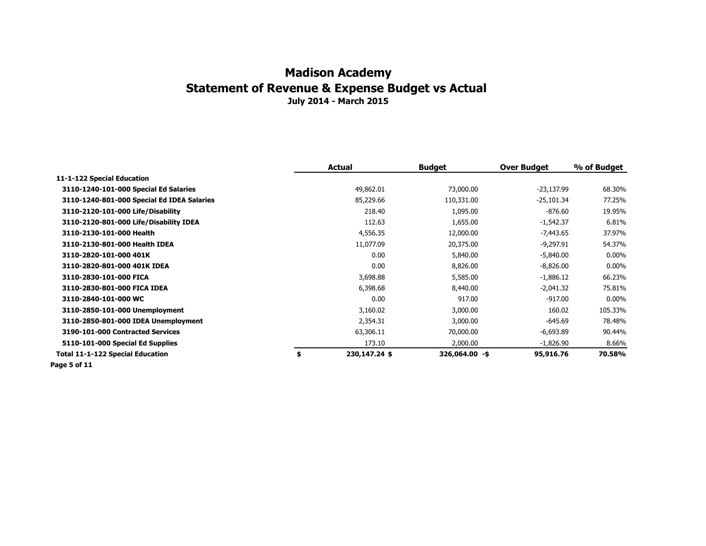|                                            | Actual              | <b>Budget</b>  | <b>Over Budget</b> | % of Budget |
|--------------------------------------------|---------------------|----------------|--------------------|-------------|
| 11-1-122 Special Education                 |                     |                |                    |             |
| 3110-1240-101-000 Special Ed Salaries      | 49,862.01           | 73,000.00      | $-23,137.99$       | 68.30%      |
| 3110-1240-801-000 Special Ed IDEA Salaries | 85,229.66           | 110,331.00     | $-25,101.34$       | 77.25%      |
| 3110-2120-101-000 Life/Disability          | 218.40              | 1,095.00       | $-876.60$          | 19.95%      |
| 3110-2120-801-000 Life/Disability IDEA     | 112.63              | 1,655.00       | $-1,542.37$        | 6.81%       |
| 3110-2130-101-000 Health                   | 4,556.35            | 12,000.00      | $-7,443.65$        | 37.97%      |
| 3110-2130-801-000 Health IDEA              | 11,077.09           | 20,375.00      | $-9,297.91$        | 54.37%      |
| 3110-2820-101-000 401K                     | 0.00                | 5,840.00       | $-5,840.00$        | $0.00\%$    |
| 3110-2820-801-000 401K IDEA                | 0.00                | 8,826.00       | $-8,826.00$        | $0.00\%$    |
| 3110-2830-101-000 FICA                     | 3,698.88            | 5,585.00       | $-1,886.12$        | 66.23%      |
| 3110-2830-801-000 FICA IDEA                | 6,398.68            | 8,440.00       | $-2,041.32$        | 75.81%      |
| 3110-2840-101-000 WC                       | 0.00                | 917.00         | $-917.00$          | $0.00\%$    |
| 3110-2850-101-000 Unemployment             | 3,160.02            | 3,000.00       | 160.02             | 105.33%     |
| 3110-2850-801-000 IDEA Unemployment        | 2,354.31            | 3,000.00       | $-645.69$          | 78.48%      |
| 3190-101-000 Contracted Services           | 63,306.11           | 70,000.00      | $-6,693.89$        | 90.44%      |
| 5110-101-000 Special Ed Supplies           | 173.10              | 2,000.00       | $-1,826.90$        | 8.66%       |
| <b>Total 11-1-122 Special Education</b>    | \$<br>230,147.24 \$ | 326,064.00 -\$ | 95,916.76          | 70.58%      |

**Page 5 of 11**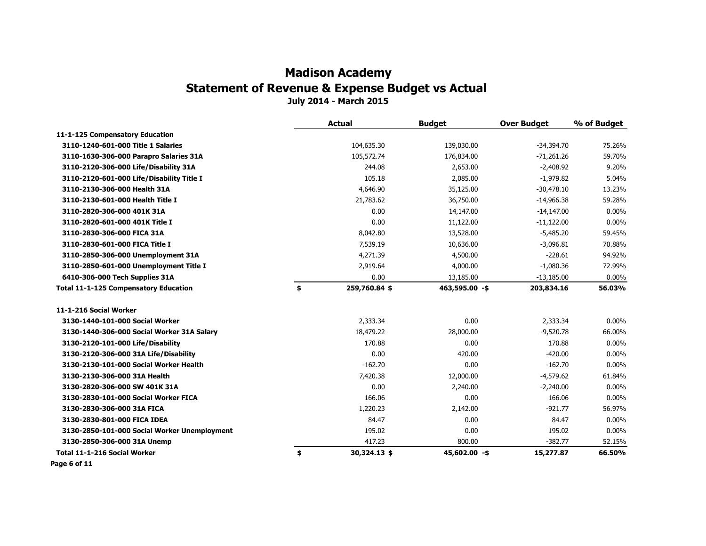|                                              | <b>Actual</b>       | <b>Budget</b>  | <b>Over Budget</b> | % of Budget |
|----------------------------------------------|---------------------|----------------|--------------------|-------------|
| 11-1-125 Compensatory Education              |                     |                |                    |             |
| 3110-1240-601-000 Title 1 Salaries           | 104,635.30          | 139,030.00     | $-34,394.70$       | 75.26%      |
| 3110-1630-306-000 Parapro Salaries 31A       | 105,572.74          | 176,834.00     | $-71,261.26$       | 59.70%      |
| 3110-2120-306-000 Life/Disability 31A        | 244.08              | 2,653.00       | $-2,408.92$        | 9.20%       |
| 3110-2120-601-000 Life/Disability Title I    | 105.18              | 2,085.00       | $-1,979.82$        | 5.04%       |
| 3110-2130-306-000 Health 31A                 | 4,646.90            | 35,125.00      | $-30.478.10$       | 13.23%      |
| 3110-2130-601-000 Health Title I             | 21,783.62           | 36,750.00      | $-14,966.38$       | 59.28%      |
| 3110-2820-306-000 401K 31A                   | 0.00                | 14,147.00      | $-14,147.00$       | 0.00%       |
| 3110-2820-601-000 401K Title I               | 0.00                | 11,122.00      | $-11,122.00$       | $0.00\%$    |
| 3110-2830-306-000 FICA 31A                   | 8,042.80            | 13,528.00      | $-5,485.20$        | 59.45%      |
| 3110-2830-601-000 FICA Title I               | 7,539.19            | 10,636.00      | $-3,096.81$        | 70.88%      |
| 3110-2850-306-000 Unemployment 31A           | 4,271.39            | 4,500.00       | $-228.61$          | 94.92%      |
| 3110-2850-601-000 Unemployment Title I       | 2,919.64            | 4,000.00       | $-1,080.36$        | 72.99%      |
| 6410-306-000 Tech Supplies 31A               | 0.00                | 13,185.00      | $-13,185.00$       | $0.00\%$    |
| <b>Total 11-1-125 Compensatory Education</b> | \$<br>259,760.84 \$ | 463,595.00 -\$ | 203,834.16         | 56.03%      |
| 11-1-216 Social Worker                       |                     |                |                    |             |
| 3130-1440-101-000 Social Worker              | 2,333.34            | 0.00           | 2,333.34           | $0.00\%$    |
| 3130-1440-306-000 Social Worker 31A Salary   | 18,479.22           | 28,000.00      | $-9,520.78$        | 66.00%      |
| 3130-2120-101-000 Life/Disability            | 170.88              | 0.00           | 170.88             | $0.00\%$    |
| 3130-2120-306-000 31A Life/Disability        | 0.00                | 420.00         | $-420.00$          | 0.00%       |
| 3130-2130-101-000 Social Worker Health       | $-162.70$           | 0.00           | $-162.70$          | 0.00%       |
| 3130-2130-306-000 31A Health                 | 7,420.38            | 12,000.00      | $-4,579.62$        | 61.84%      |
| 3130-2820-306-000 SW 401K 31A                | 0.00                | 2,240.00       | $-2,240.00$        | $0.00\%$    |
| 3130-2830-101-000 Social Worker FICA         | 166.06              | 0.00           | 166.06             | $0.00\%$    |
| 3130-2830-306-000 31A FICA                   | 1,220.23            | 2,142.00       | $-921.77$          | 56.97%      |
| 3130-2830-801-000 FICA IDEA                  | 84.47               | 0.00           | 84.47              | 0.00%       |
| 3130-2850-101-000 Social Worker Unemployment | 195.02              | 0.00           | 195.02             | 0.00%       |
| 3130-2850-306-000 31A Unemp                  | 417.23              | 800.00         | $-382.77$          | 52.15%      |
| Total 11-1-216 Social Worker                 | \$<br>30,324.13 \$  | 45,602.00 -\$  | 15,277.87          | 66.50%      |
| Page 6 of 11                                 |                     |                |                    |             |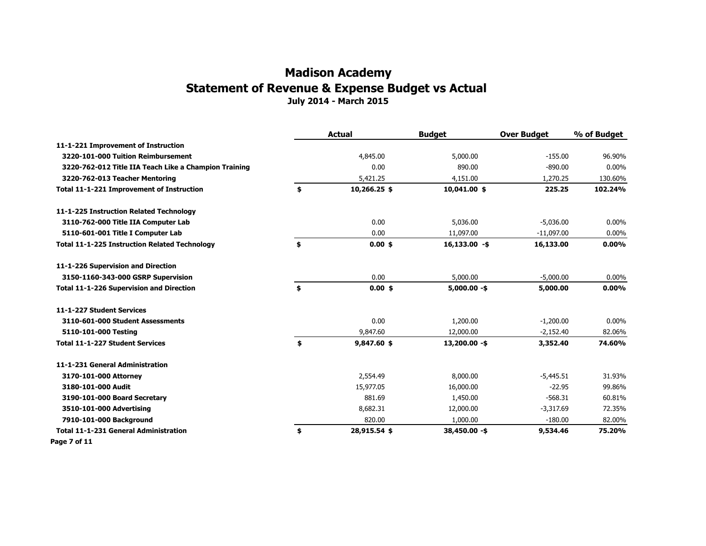|                                                       | <b>Actual</b>      | <b>Budget</b>   | <b>Over Budget</b> | % of Budget |
|-------------------------------------------------------|--------------------|-----------------|--------------------|-------------|
| 11-1-221 Improvement of Instruction                   |                    |                 |                    |             |
| 3220-101-000 Tuition Reimbursement                    | 4,845.00           | 5,000.00        | $-155.00$          | 96.90%      |
| 3220-762-012 Title IIA Teach Like a Champion Training | 0.00               | 890.00          | $-890.00$          | $0.00\%$    |
| 3220-762-013 Teacher Mentoring                        | 5,421.25           | 4,151.00        | 1,270.25           | 130.60%     |
| Total 11-1-221 Improvement of Instruction             | \$<br>10,266.25 \$ | $10,041.00$ \$  | 225.25             | 102.24%     |
| 11-1-225 Instruction Related Technology               |                    |                 |                    |             |
| 3110-762-000 Title IIA Computer Lab                   | 0.00               | 5,036,00        | $-5,036.00$        | $0.00\%$    |
| 5110-601-001 Title I Computer Lab                     | 0.00               | 11,097.00       | $-11,097.00$       | 0.00%       |
| <b>Total 11-1-225 Instruction Related Technology</b>  | \$<br>$0.00$ \$    | $16,133.00 - $$ | 16,133.00          | $0.00\%$    |
| 11-1-226 Supervision and Direction                    |                    |                 |                    |             |
| 3150-1160-343-000 GSRP Supervision                    | 0.00               | 5,000.00        | $-5,000.00$        | 0.00%       |
| <b>Total 11-1-226 Supervision and Direction</b>       | \$<br>$0.00$ \$    | $5,000.00 - $$  | 5,000.00           | $0.00\%$    |
| 11-1-227 Student Services                             |                    |                 |                    |             |
| 3110-601-000 Student Assessments                      | 0.00               | 1,200.00        | $-1,200.00$        | $0.00\%$    |
| 5110-101-000 Testing                                  | 9,847.60           | 12,000.00       | $-2,152.40$        | 82.06%      |
| <b>Total 11-1-227 Student Services</b>                | \$<br>9,847.60 \$  | $13,200.00 - $$ | 3,352.40           | 74.60%      |
| 11-1-231 General Administration                       |                    |                 |                    |             |
| 3170-101-000 Attorney                                 | 2,554.49           | 8,000.00        | $-5,445.51$        | 31.93%      |
| 3180-101-000 Audit                                    | 15,977.05          | 16,000.00       | $-22.95$           | 99.86%      |
| 3190-101-000 Board Secretary                          | 881.69             | 1,450.00        | $-568.31$          | 60.81%      |
| 3510-101-000 Advertising                              | 8,682.31           | 12,000.00       | $-3,317.69$        | 72.35%      |
| 7910-101-000 Background                               | 820.00             | 1,000.00        | $-180.00$          | 82.00%      |
| <b>Total 11-1-231 General Administration</b>          | \$<br>28,915.54 \$ | $38,450.00 - $$ | 9,534.46           | 75.20%      |
| Page 7 of 11                                          |                    |                 |                    |             |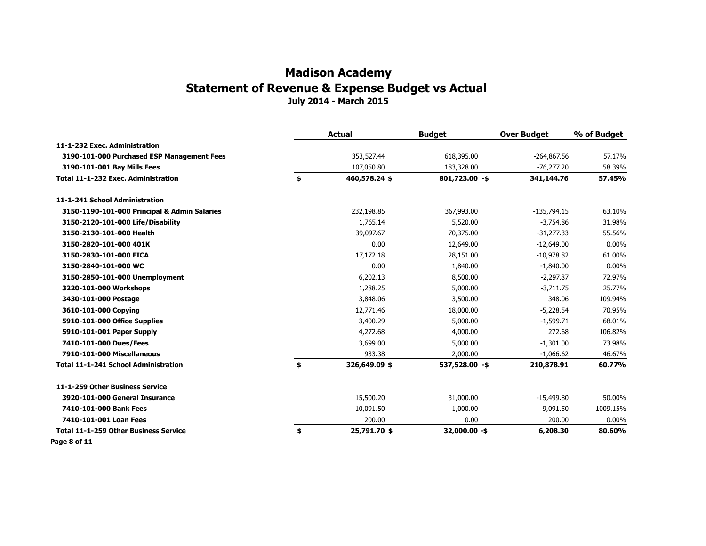|                                              | <b>Actual</b>       | <b>Budget</b>    | <b>Over Budget</b> | % of Budget |
|----------------------------------------------|---------------------|------------------|--------------------|-------------|
| 11-1-232 Exec. Administration                |                     |                  |                    |             |
| 3190-101-000 Purchased ESP Management Fees   | 353,527.44          | 618,395.00       | $-264,867.56$      | 57.17%      |
| 3190-101-001 Bay Mills Fees                  | 107,050.80          | 183,328.00       | $-76,277.20$       | 58.39%      |
| Total 11-1-232 Exec. Administration          | \$<br>460,578.24 \$ | $801,723.00 - $$ | 341,144.76         | 57.45%      |
| 11-1-241 School Administration               |                     |                  |                    |             |
| 3150-1190-101-000 Principal & Admin Salaries | 232,198.85          | 367,993.00       | $-135,794.15$      | 63.10%      |
| 3150-2120-101-000 Life/Disability            | 1,765.14            | 5,520.00         | $-3,754.86$        | 31.98%      |
| 3150-2130-101-000 Health                     | 39,097.67           | 70,375.00        | $-31,277.33$       | 55.56%      |
| 3150-2820-101-000 401K                       | 0.00                | 12,649.00        | $-12,649.00$       | $0.00\%$    |
| 3150-2830-101-000 FICA                       | 17,172.18           | 28,151.00        | $-10,978.82$       | 61.00%      |
| 3150-2840-101-000 WC                         | 0.00                | 1,840.00         | $-1,840.00$        | $0.00\%$    |
| 3150-2850-101-000 Unemployment               | 6,202.13            | 8,500.00         | $-2,297.87$        | 72.97%      |
| 3220-101-000 Workshops                       | 1,288.25            | 5,000.00         | $-3,711.75$        | 25.77%      |
| 3430-101-000 Postage                         | 3,848.06            | 3,500.00         | 348.06             | 109.94%     |
| 3610-101-000 Copying                         | 12,771.46           | 18,000.00        | $-5,228.54$        | 70.95%      |
| 5910-101-000 Office Supplies                 | 3,400.29            | 5,000.00         | $-1,599.71$        | 68.01%      |
| 5910-101-001 Paper Supply                    | 4,272.68            | 4,000.00         | 272.68             | 106.82%     |
| 7410-101-000 Dues/Fees                       | 3,699.00            | 5,000.00         | $-1,301.00$        | 73.98%      |
| 7910-101-000 Miscellaneous                   | 933.38              | 2,000.00         | $-1,066.62$        | 46.67%      |
| <b>Total 11-1-241 School Administration</b>  | \$<br>326,649.09 \$ | 537,528.00 -\$   | 210,878.91         | 60.77%      |
| 11-1-259 Other Business Service              |                     |                  |                    |             |
| 3920-101-000 General Insurance               | 15,500.20           | 31,000.00        | $-15,499.80$       | 50.00%      |
| 7410-101-000 Bank Fees                       | 10,091.50           | 1,000.00         | 9,091.50           | 1009.15%    |
| 7410-101-001 Loan Fees                       | 200.00              | 0.00             | 200.00             | $0.00\%$    |
| <b>Total 11-1-259 Other Business Service</b> | \$<br>25,791.70 \$  | 32,000.00 -\$    | 6,208.30           | 80.60%      |
| Page 8 of 11                                 |                     |                  |                    |             |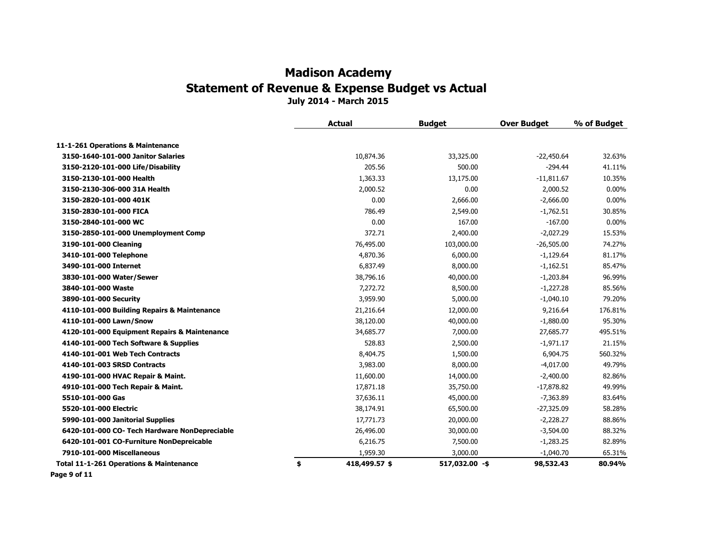| 11-1-261 Operations & Maintenance<br>10,874.36<br>3150-1640-101-000 Janitor Salaries<br>33,325.00<br>$-22,450.64$<br>32.63%<br>3150-2120-101-000 Life/Disability<br>205.56<br>500.00<br>$-294.44$<br>41.11%<br>1,363.33<br>3150-2130-101-000 Health<br>13,175.00<br>$-11,811.67$<br>10.35%<br>0.00<br>$0.00\%$<br>2,000.52<br>2,000.52<br>3150-2130-306-000 31A Health<br>0.00<br>$-2,666.00$<br>$0.00\%$<br>3150-2820-101-000 401K<br>2,666.00<br>786.49<br>$-1,762.51$<br>3150-2830-101-000 FICA<br>2,549.00<br>30.85%<br>0.00<br>167.00<br>$-167.00$<br>3150-2840-101-000 WC<br>$0.00\%$<br>372.71<br>3150-2850-101-000 Unemployment Comp<br>2,400.00<br>$-2,027.29$<br>15.53%<br>3190-101-000 Cleaning<br>76,495.00<br>103,000.00<br>$-26,505.00$<br>74.27%<br>3410-101-000 Telephone<br>4,870.36<br>6,000.00<br>$-1,129.64$<br>81.17%<br>3490-101-000 Internet<br>6,837.49<br>8,000.00<br>$-1,162.51$<br>85.47%<br>38,796.16<br>40,000.00<br>$-1,203.84$<br>96.99%<br>3830-101-000 Water/Sewer<br>7,272.72<br>85.56%<br>3840-101-000 Waste<br>8,500.00<br>$-1,227.28$<br>$-1,040.10$<br>79.20%<br>3890-101-000 Security<br>3,959.90<br>5,000.00<br>176.81%<br>4110-101-000 Building Repairs & Maintenance<br>21,216.64<br>12,000.00<br>9,216.64<br>4110-101-000 Lawn/Snow<br>38,120.00<br>40,000.00<br>$-1,880.00$<br>95.30%<br>34,685.77<br>27,685.77<br>495.51%<br>4120-101-000 Equipment Repairs & Maintenance<br>7,000.00<br>4140-101-000 Tech Software & Supplies<br>528.83<br>$-1,971.17$<br>21.15%<br>2,500.00<br>6,904.75<br>560.32%<br>4140-101-001 Web Tech Contracts<br>8,404.75<br>1,500.00<br>$-4,017.00$<br>49.79%<br>4140-101-003 SRSD Contracts<br>3,983.00<br>8,000.00 |
|----------------------------------------------------------------------------------------------------------------------------------------------------------------------------------------------------------------------------------------------------------------------------------------------------------------------------------------------------------------------------------------------------------------------------------------------------------------------------------------------------------------------------------------------------------------------------------------------------------------------------------------------------------------------------------------------------------------------------------------------------------------------------------------------------------------------------------------------------------------------------------------------------------------------------------------------------------------------------------------------------------------------------------------------------------------------------------------------------------------------------------------------------------------------------------------------------------------------------------------------------------------------------------------------------------------------------------------------------------------------------------------------------------------------------------------------------------------------------------------------------------------------------------------------------------------------------------------------------------------------------------------------------------------------------------------------|
|                                                                                                                                                                                                                                                                                                                                                                                                                                                                                                                                                                                                                                                                                                                                                                                                                                                                                                                                                                                                                                                                                                                                                                                                                                                                                                                                                                                                                                                                                                                                                                                                                                                                                              |
|                                                                                                                                                                                                                                                                                                                                                                                                                                                                                                                                                                                                                                                                                                                                                                                                                                                                                                                                                                                                                                                                                                                                                                                                                                                                                                                                                                                                                                                                                                                                                                                                                                                                                              |
|                                                                                                                                                                                                                                                                                                                                                                                                                                                                                                                                                                                                                                                                                                                                                                                                                                                                                                                                                                                                                                                                                                                                                                                                                                                                                                                                                                                                                                                                                                                                                                                                                                                                                              |
|                                                                                                                                                                                                                                                                                                                                                                                                                                                                                                                                                                                                                                                                                                                                                                                                                                                                                                                                                                                                                                                                                                                                                                                                                                                                                                                                                                                                                                                                                                                                                                                                                                                                                              |
|                                                                                                                                                                                                                                                                                                                                                                                                                                                                                                                                                                                                                                                                                                                                                                                                                                                                                                                                                                                                                                                                                                                                                                                                                                                                                                                                                                                                                                                                                                                                                                                                                                                                                              |
|                                                                                                                                                                                                                                                                                                                                                                                                                                                                                                                                                                                                                                                                                                                                                                                                                                                                                                                                                                                                                                                                                                                                                                                                                                                                                                                                                                                                                                                                                                                                                                                                                                                                                              |
|                                                                                                                                                                                                                                                                                                                                                                                                                                                                                                                                                                                                                                                                                                                                                                                                                                                                                                                                                                                                                                                                                                                                                                                                                                                                                                                                                                                                                                                                                                                                                                                                                                                                                              |
|                                                                                                                                                                                                                                                                                                                                                                                                                                                                                                                                                                                                                                                                                                                                                                                                                                                                                                                                                                                                                                                                                                                                                                                                                                                                                                                                                                                                                                                                                                                                                                                                                                                                                              |
|                                                                                                                                                                                                                                                                                                                                                                                                                                                                                                                                                                                                                                                                                                                                                                                                                                                                                                                                                                                                                                                                                                                                                                                                                                                                                                                                                                                                                                                                                                                                                                                                                                                                                              |
|                                                                                                                                                                                                                                                                                                                                                                                                                                                                                                                                                                                                                                                                                                                                                                                                                                                                                                                                                                                                                                                                                                                                                                                                                                                                                                                                                                                                                                                                                                                                                                                                                                                                                              |
|                                                                                                                                                                                                                                                                                                                                                                                                                                                                                                                                                                                                                                                                                                                                                                                                                                                                                                                                                                                                                                                                                                                                                                                                                                                                                                                                                                                                                                                                                                                                                                                                                                                                                              |
|                                                                                                                                                                                                                                                                                                                                                                                                                                                                                                                                                                                                                                                                                                                                                                                                                                                                                                                                                                                                                                                                                                                                                                                                                                                                                                                                                                                                                                                                                                                                                                                                                                                                                              |
|                                                                                                                                                                                                                                                                                                                                                                                                                                                                                                                                                                                                                                                                                                                                                                                                                                                                                                                                                                                                                                                                                                                                                                                                                                                                                                                                                                                                                                                                                                                                                                                                                                                                                              |
|                                                                                                                                                                                                                                                                                                                                                                                                                                                                                                                                                                                                                                                                                                                                                                                                                                                                                                                                                                                                                                                                                                                                                                                                                                                                                                                                                                                                                                                                                                                                                                                                                                                                                              |
|                                                                                                                                                                                                                                                                                                                                                                                                                                                                                                                                                                                                                                                                                                                                                                                                                                                                                                                                                                                                                                                                                                                                                                                                                                                                                                                                                                                                                                                                                                                                                                                                                                                                                              |
|                                                                                                                                                                                                                                                                                                                                                                                                                                                                                                                                                                                                                                                                                                                                                                                                                                                                                                                                                                                                                                                                                                                                                                                                                                                                                                                                                                                                                                                                                                                                                                                                                                                                                              |
|                                                                                                                                                                                                                                                                                                                                                                                                                                                                                                                                                                                                                                                                                                                                                                                                                                                                                                                                                                                                                                                                                                                                                                                                                                                                                                                                                                                                                                                                                                                                                                                                                                                                                              |
|                                                                                                                                                                                                                                                                                                                                                                                                                                                                                                                                                                                                                                                                                                                                                                                                                                                                                                                                                                                                                                                                                                                                                                                                                                                                                                                                                                                                                                                                                                                                                                                                                                                                                              |
|                                                                                                                                                                                                                                                                                                                                                                                                                                                                                                                                                                                                                                                                                                                                                                                                                                                                                                                                                                                                                                                                                                                                                                                                                                                                                                                                                                                                                                                                                                                                                                                                                                                                                              |
|                                                                                                                                                                                                                                                                                                                                                                                                                                                                                                                                                                                                                                                                                                                                                                                                                                                                                                                                                                                                                                                                                                                                                                                                                                                                                                                                                                                                                                                                                                                                                                                                                                                                                              |
|                                                                                                                                                                                                                                                                                                                                                                                                                                                                                                                                                                                                                                                                                                                                                                                                                                                                                                                                                                                                                                                                                                                                                                                                                                                                                                                                                                                                                                                                                                                                                                                                                                                                                              |
|                                                                                                                                                                                                                                                                                                                                                                                                                                                                                                                                                                                                                                                                                                                                                                                                                                                                                                                                                                                                                                                                                                                                                                                                                                                                                                                                                                                                                                                                                                                                                                                                                                                                                              |
| 82.86%<br>4190-101-000 HVAC Repair & Maint.<br>11,600.00<br>14,000.00<br>$-2,400.00$                                                                                                                                                                                                                                                                                                                                                                                                                                                                                                                                                                                                                                                                                                                                                                                                                                                                                                                                                                                                                                                                                                                                                                                                                                                                                                                                                                                                                                                                                                                                                                                                         |
| 17,871.18<br>35,750.00<br>$-17,878.82$<br>49.99%<br>4910-101-000 Tech Repair & Maint.                                                                                                                                                                                                                                                                                                                                                                                                                                                                                                                                                                                                                                                                                                                                                                                                                                                                                                                                                                                                                                                                                                                                                                                                                                                                                                                                                                                                                                                                                                                                                                                                        |
| 5510-101-000 Gas<br>37,636.11<br>45,000.00<br>$-7,363.89$<br>83.64%                                                                                                                                                                                                                                                                                                                                                                                                                                                                                                                                                                                                                                                                                                                                                                                                                                                                                                                                                                                                                                                                                                                                                                                                                                                                                                                                                                                                                                                                                                                                                                                                                          |
| 38,174.91<br>$-27,325.09$<br>58.28%<br>5520-101-000 Electric<br>65,500.00                                                                                                                                                                                                                                                                                                                                                                                                                                                                                                                                                                                                                                                                                                                                                                                                                                                                                                                                                                                                                                                                                                                                                                                                                                                                                                                                                                                                                                                                                                                                                                                                                    |
| 17,771.73<br>88.86%<br>5990-101-000 Janitorial Supplies<br>20,000.00<br>$-2,228.27$                                                                                                                                                                                                                                                                                                                                                                                                                                                                                                                                                                                                                                                                                                                                                                                                                                                                                                                                                                                                                                                                                                                                                                                                                                                                                                                                                                                                                                                                                                                                                                                                          |
| 6420-101-000 CO- Tech Hardware NonDepreciable<br>26,496.00<br>$-3,504.00$<br>88.32%<br>30,000.00                                                                                                                                                                                                                                                                                                                                                                                                                                                                                                                                                                                                                                                                                                                                                                                                                                                                                                                                                                                                                                                                                                                                                                                                                                                                                                                                                                                                                                                                                                                                                                                             |
| 6420-101-001 CO-Furniture NonDepreicable<br>6,216.75<br>7,500.00<br>$-1,283.25$<br>82.89%                                                                                                                                                                                                                                                                                                                                                                                                                                                                                                                                                                                                                                                                                                                                                                                                                                                                                                                                                                                                                                                                                                                                                                                                                                                                                                                                                                                                                                                                                                                                                                                                    |
| 7910-101-000 Miscellaneous<br>3,000.00<br>65.31%<br>1,959.30<br>$-1,040.70$                                                                                                                                                                                                                                                                                                                                                                                                                                                                                                                                                                                                                                                                                                                                                                                                                                                                                                                                                                                                                                                                                                                                                                                                                                                                                                                                                                                                                                                                                                                                                                                                                  |
| \$<br>80.94%<br>418,499.57 \$<br>517,032.00 -\$<br>98,532.43<br><b>Total 11-1-261 Operations &amp; Maintenance</b>                                                                                                                                                                                                                                                                                                                                                                                                                                                                                                                                                                                                                                                                                                                                                                                                                                                                                                                                                                                                                                                                                                                                                                                                                                                                                                                                                                                                                                                                                                                                                                           |

**Page 9 of 11**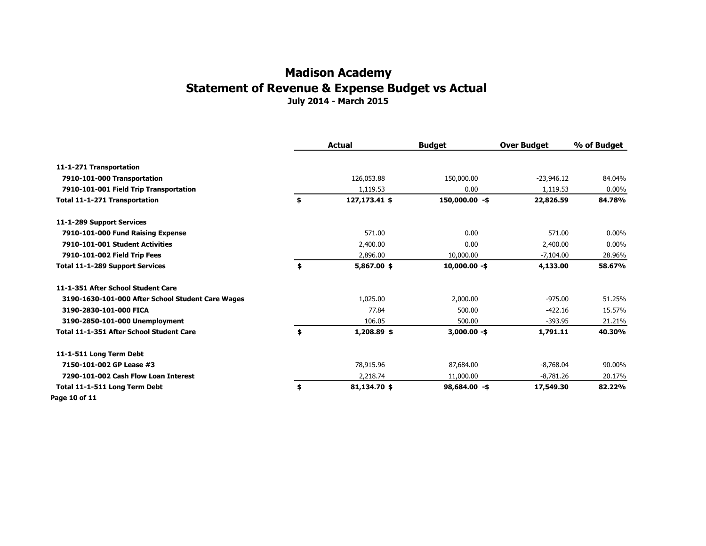#### **July 2014 - March 2015 Madison Academy Statement of Revenue & Expense Budget vs Actual**

|                                                   | Actual              | <b>Budget</b>    | <b>Over Budget</b> | % of Budget |
|---------------------------------------------------|---------------------|------------------|--------------------|-------------|
| 11-1-271 Transportation                           |                     |                  |                    |             |
| 7910-101-000 Transportation                       | 126,053.88          | 150,000.00       | $-23,946.12$       | 84.04%      |
| 7910-101-001 Field Trip Transportation            | 1,119.53            | 0.00             | 1,119.53           | $0.00\%$    |
| Total 11-1-271 Transportation                     | \$<br>127,173.41 \$ | $150,000.00 - $$ | 22,826.59          | 84.78%      |
| 11-1-289 Support Services                         |                     |                  |                    |             |
| 7910-101-000 Fund Raising Expense                 | 571.00              | 0.00             | 571.00             | $0.00\%$    |
| 7910-101-001 Student Activities                   | 2,400.00            | 0.00             | 2,400.00           | $0.00\%$    |
| 7910-101-002 Field Trip Fees                      | 2,896.00            | 10,000.00        | $-7.104.00$        | 28.96%      |
| <b>Total 11-1-289 Support Services</b>            | \$<br>5,867.00 \$   | $10,000.00 - $$  | 4,133.00           | 58.67%      |
| 11-1-351 After School Student Care                |                     |                  |                    |             |
| 3190-1630-101-000 After School Student Care Wages | 1,025.00            | 2,000.00         | $-975.00$          | 51.25%      |
| 3190-2830-101-000 FICA                            | 77.84               | 500.00           | $-422.16$          | 15.57%      |
| 3190-2850-101-000 Unemployment                    | 106.05              | 500.00           | $-393.95$          | 21.21%      |
| Total 11-1-351 After School Student Care          | \$<br>1,208.89 \$   | $3,000.00 - $$   | 1,791.11           | 40.30%      |
| 11-1-511 Long Term Debt                           |                     |                  |                    |             |
| 7150-101-002 GP Lease #3                          | 78,915.96           | 87,684.00        | $-8,768.04$        | 90.00%      |
| 7290-101-002 Cash Flow Loan Interest              | 2,218.74            | 11,000.00        | $-8,781.26$        | 20.17%      |
| Total 11-1-511 Long Term Debt                     | \$<br>81,134.70 \$  | $98,684.00 - $$  | 17,549.30          | 82.22%      |
| Page 10 of 11                                     |                     |                  |                    |             |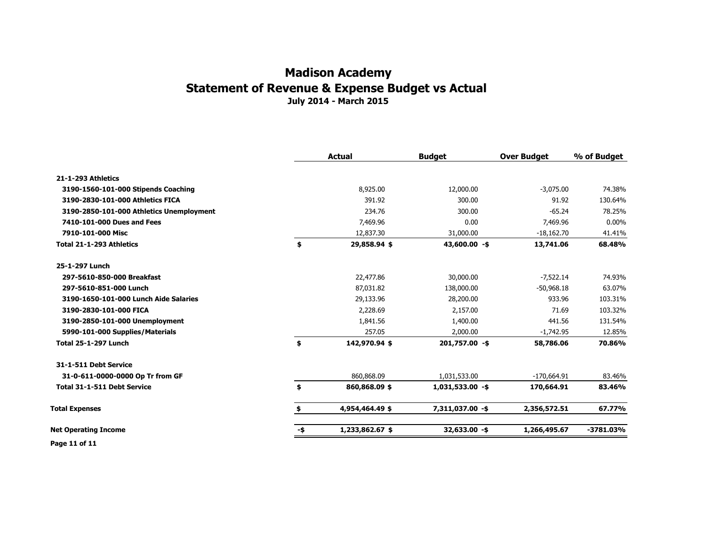|                                          |     | <b>Actual</b>   | <b>Budget</b>    | <b>Over Budget</b> | % of Budget |
|------------------------------------------|-----|-----------------|------------------|--------------------|-------------|
| 21-1-293 Athletics                       |     |                 |                  |                    |             |
| 3190-1560-101-000 Stipends Coaching      |     | 8,925.00        | 12,000.00        | $-3,075.00$        | 74.38%      |
| 3190-2830-101-000 Athletics FICA         |     | 391.92          | 300.00           | 91.92              | 130.64%     |
| 3190-2850-101-000 Athletics Unemployment |     | 234.76          | 300.00           | $-65.24$           | 78.25%      |
| 7410-101-000 Dues and Fees               |     | 7,469.96        | 0.00             | 7,469.96           | $0.00\%$    |
| 7910-101-000 Misc                        |     | 12,837.30       | 31,000.00        | $-18,162.70$       | 41.41%      |
| Total 21-1-293 Athletics                 | \$  | 29,858.94 \$    | $43,600.00 - $$  | 13,741.06          | 68.48%      |
| 25-1-297 Lunch                           |     |                 |                  |                    |             |
| 297-5610-850-000 Breakfast               |     | 22,477.86       | 30,000.00        | $-7,522.14$        | 74.93%      |
| 297-5610-851-000 Lunch                   |     | 87,031.82       | 138,000.00       | $-50,968.18$       | 63.07%      |
| 3190-1650-101-000 Lunch Aide Salaries    |     | 29,133.96       | 28,200.00        | 933.96             | 103.31%     |
| 3190-2830-101-000 FICA                   |     | 2,228.69        | 2,157.00         | 71.69              | 103.32%     |
| 3190-2850-101-000 Unemployment           |     | 1,841.56        | 1,400.00         | 441.56             | 131.54%     |
| 5990-101-000 Supplies/Materials          |     | 257.05          | 2,000.00         | $-1,742.95$        | 12.85%      |
| <b>Total 25-1-297 Lunch</b>              | \$  | 142,970.94 \$   | 201,757.00 -\$   | 58,786.06          | 70.86%      |
| 31-1-511 Debt Service                    |     |                 |                  |                    |             |
| 31-0-611-0000-0000 Op Tr from GF         |     | 860,868.09      | 1,031,533.00     | $-170,664.91$      | 83.46%      |
| <b>Total 31-1-511 Debt Service</b>       | \$  | 860,868.09 \$   | 1,031,533.00 -\$ | 170,664.91         | 83.46%      |
| <b>Total Expenses</b>                    |     | 4,954,464.49 \$ | 7,311,037.00 -\$ | 2,356,572.51       | 67.77%      |
| <b>Net Operating Income</b>              | -\$ | 1,233,862.67 \$ | 32,633.00 -\$    | 1,266,495.67       | -3781.03%   |

**Page 11 of 11**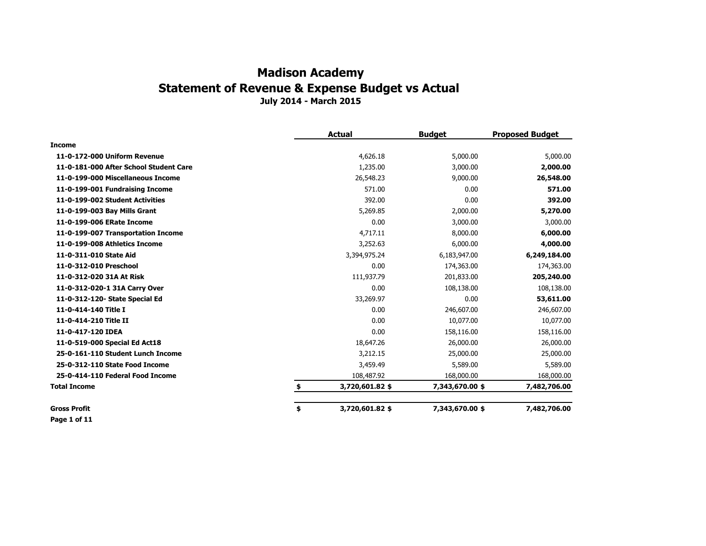|                                        | <b>Actual</b>         | <b>Budget</b>   | <b>Proposed Budget</b> |
|----------------------------------------|-----------------------|-----------------|------------------------|
| <b>Income</b>                          |                       |                 |                        |
| 11-0-172-000 Uniform Revenue           | 4,626.18              | 5,000.00        | 5,000.00               |
| 11-0-181-000 After School Student Care | 1,235.00              | 3,000.00        | 2,000.00               |
| 11-0-199-000 Miscellaneous Income      | 26,548.23             | 9,000.00        | 26,548.00              |
| 11-0-199-001 Fundraising Income        | 571.00                | 0.00            | 571.00                 |
| 11-0-199-002 Student Activities        | 392.00                | 0.00            | 392.00                 |
| 11-0-199-003 Bay Mills Grant           | 5,269.85              | 2,000.00        | 5,270.00               |
| 11-0-199-006 ERate Income              | 0.00                  | 3,000.00        | 3,000.00               |
| 11-0-199-007 Transportation Income     | 4,717.11              | 8,000.00        | 6,000.00               |
| 11-0-199-008 Athletics Income          | 3,252.63              | 6,000.00        | 4,000.00               |
| 11-0-311-010 State Aid                 | 3,394,975.24          | 6,183,947.00    | 6,249,184.00           |
| 11-0-312-010 Preschool                 | 0.00                  | 174,363.00      | 174,363.00             |
| 11-0-312-020 31A At Risk               | 111,937.79            | 201,833.00      | 205,240.00             |
| 11-0-312-020-1 31A Carry Over          | 0.00                  | 108,138.00      | 108,138.00             |
| 11-0-312-120- State Special Ed         | 33,269.97             | 0.00            | 53,611.00              |
| 11-0-414-140 Title I                   | 0.00                  | 246,607.00      | 246,607.00             |
| 11-0-414-210 Title II                  | 0.00                  | 10,077.00       | 10,077.00              |
| 11-0-417-120 IDEA                      | 0.00                  | 158,116.00      | 158,116.00             |
| 11-0-519-000 Special Ed Act18          | 18,647.26             | 26,000.00       | 26,000.00              |
| 25-0-161-110 Student Lunch Income      | 3,212.15              | 25,000.00       | 25,000.00              |
| 25-0-312-110 State Food Income         | 3,459.49              | 5,589.00        | 5,589.00               |
| 25-0-414-110 Federal Food Income       | 108,487.92            | 168,000.00      | 168,000.00             |
| Total Income                           | \$<br>3,720,601.82 \$ | 7,343,670.00 \$ | 7,482,706.00           |
| Gross Profit                           | \$<br>3,720,601.82 \$ | 7,343,670.00 \$ | 7,482,706.00           |

**Page 1 of 11**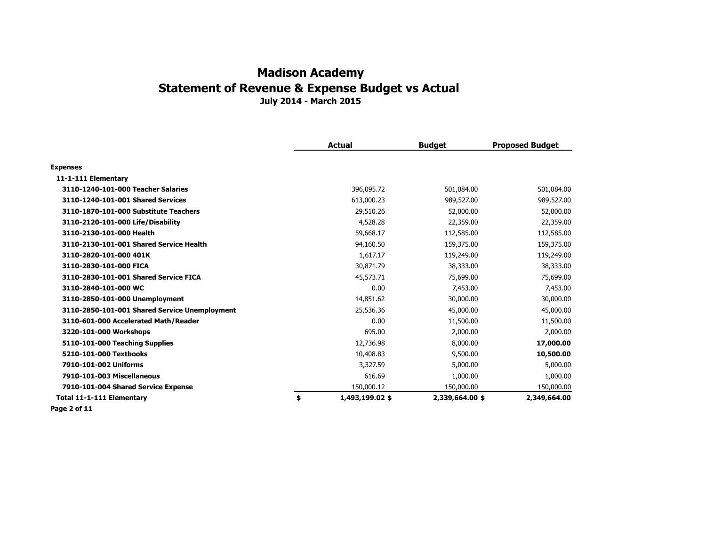|                                               | <b>Actual</b>         | <b>Budget</b>   | <b>Proposed Budget</b> |
|-----------------------------------------------|-----------------------|-----------------|------------------------|
| <b>Expenses</b>                               |                       |                 |                        |
| 11-1-111 Elementary                           |                       |                 |                        |
| 3110-1240-101-000 Teacher Salaries            | 396,095.72            | 501,084.00      | 501,084.00             |
| 3110-1240-101-001 Shared Services             | 613,000.23            | 989,527.00      | 989,527.00             |
| 3110-1870-101-000 Substitute Teachers         | 29,510.26             | 52,000.00       | 52,000.00              |
| 3110-2120-101-000 Life/Disability             | 4,528.28              | 22,359.00       | 22,359.00              |
| 3110-2130-101-000 Health                      | 59,668.17             | 112,585.00      | 112,585.00             |
| 3110-2130-101-001 Shared Service Health       | 94,160.50             | 159,375.00      | 159,375.00             |
| 3110-2820-101-000 401K                        | 1,617.17              | 119,249.00      | 119,249.00             |
| 3110-2830-101-000 FICA                        | 30,871.79             | 38,333.00       | 38,333.00              |
| 3110-2830-101-001 Shared Service FICA         | 45,573.71             | 75,699.00       | 75,699.00              |
| 3110-2840-101-000 WC                          | 0.00                  | 7,453.00        | 7,453.00               |
| 3110-2850-101-000 Unemployment                | 14,851.62             | 30,000.00       | 30,000.00              |
| 3110-2850-101-001 Shared Service Unemployment | 25,536.36             | 45,000.00       | 45,000.00              |
| 3110-601-000 Accelerated Math/Reader          | 0.00                  | 11,500.00       | 11,500.00              |
| 3220-101-000 Workshops                        | 695.00                | 2,000.00        | 2,000.00               |
| 5110-101-000 Teaching Supplies                | 12,736.98             | 8,000.00        | 17,000.00              |
| 5210-101-000 Textbooks                        | 10,408.83             | 9,500.00        | 10,500.00              |
| 7910-101-002 Uniforms                         | 3,327.59              | 5,000.00        | 5,000.00               |
| 7910-101-003 Miscellaneous                    | 616.69                | 1,000.00        | 1,000.00               |
| 7910-101-004 Shared Service Expense           | 150,000.12            | 150,000.00      | 150,000.00             |
| <b>Total 11-1-111 Elementary</b>              | \$<br>1,493,199.02 \$ | 2,339,664.00 \$ | 2,349,664.00           |
|                                               |                       |                 |                        |

**Page 2 of 11**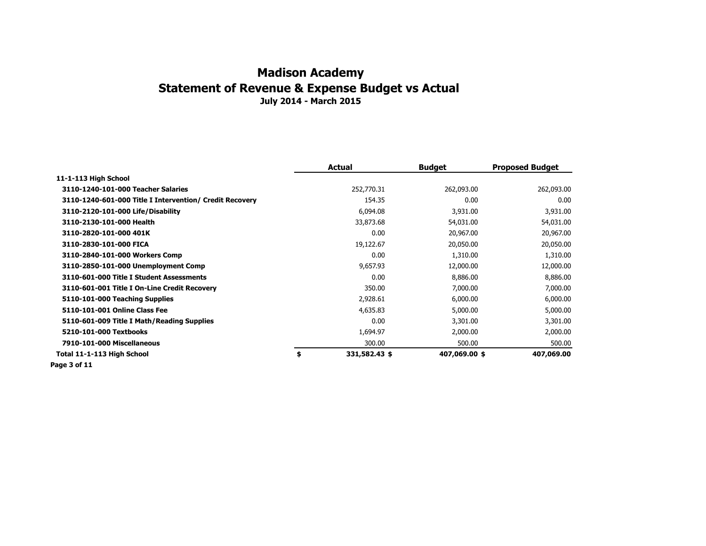|                                                         | Actual              | <b>Budget</b> | <b>Proposed Budget</b> |
|---------------------------------------------------------|---------------------|---------------|------------------------|
| 11-1-113 High School                                    |                     |               |                        |
| 3110-1240-101-000 Teacher Salaries                      | 252,770.31          | 262,093.00    | 262,093.00             |
| 3110-1240-601-000 Title I Intervention/ Credit Recovery | 154.35              | 0.00          | 0.00                   |
| 3110-2120-101-000 Life/Disability                       | 6,094.08            | 3,931.00      | 3,931.00               |
| 3110-2130-101-000 Health                                | 33,873.68           | 54,031.00     | 54,031.00              |
| 3110-2820-101-000 401K                                  | 0.00                | 20,967.00     | 20,967.00              |
| 3110-2830-101-000 FICA                                  | 19,122.67           | 20,050.00     | 20,050.00              |
| 3110-2840-101-000 Workers Comp                          | 0.00                | 1,310.00      | 1,310.00               |
| 3110-2850-101-000 Unemployment Comp                     | 9,657.93            | 12,000.00     | 12,000.00              |
| 3110-601-000 Title I Student Assessments                | 0.00                | 8,886.00      | 8,886.00               |
| 3110-601-001 Title I On-Line Credit Recovery            | 350.00              | 7,000.00      | 7,000.00               |
| 5110-101-000 Teaching Supplies                          | 2,928.61            | 6,000.00      | 6,000.00               |
| 5110-101-001 Online Class Fee                           | 4,635.83            | 5,000.00      | 5,000.00               |
| 5110-601-009 Title I Math/Reading Supplies              | 0.00                | 3,301.00      | 3,301.00               |
| 5210-101-000 Textbooks                                  | 1,694.97            | 2,000.00      | 2,000.00               |
| 7910-101-000 Miscellaneous                              | 300.00              | 500.00        | 500.00                 |
| Total 11-1-113 High School                              | \$<br>331,582.43 \$ | 407,069.00 \$ | 407,069.00             |
| .                                                       |                     |               |                        |

**Page 3 of 11**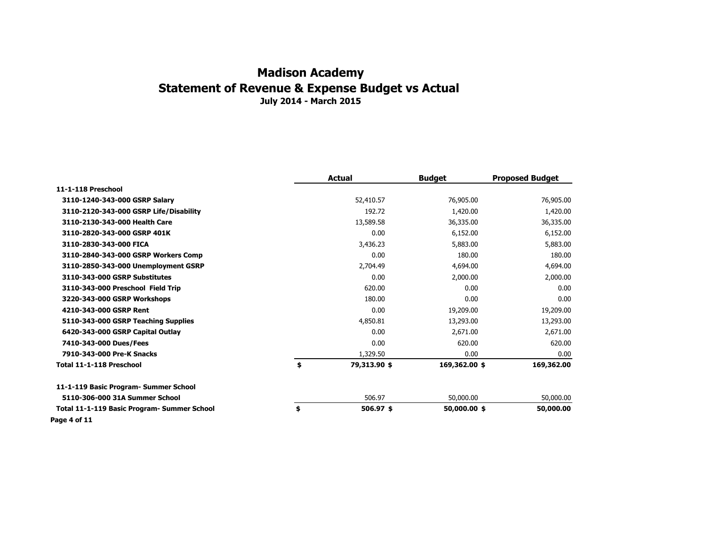|                                             | <b>Actual</b>      | <b>Budget</b> | <b>Proposed Budget</b> |
|---------------------------------------------|--------------------|---------------|------------------------|
| 11-1-118 Preschool                          |                    |               |                        |
| 3110-1240-343-000 GSRP Salary               | 52,410.57          | 76,905.00     | 76,905.00              |
| 3110-2120-343-000 GSRP Life/Disability      | 192.72             | 1,420.00      | 1,420.00               |
| 3110-2130-343-000 Health Care               | 13,589.58          | 36,335.00     | 36,335.00              |
| 3110-2820-343-000 GSRP 401K                 | 0.00               | 6,152.00      | 6,152.00               |
| 3110-2830-343-000 FICA                      | 3,436.23           | 5,883.00      | 5,883.00               |
| 3110-2840-343-000 GSRP Workers Comp         | 0.00               | 180.00        | 180.00                 |
| 3110-2850-343-000 Unemployment GSRP         | 2,704.49           | 4,694.00      | 4,694.00               |
| 3110-343-000 GSRP Substitutes               | 0.00               | 2,000.00      | 2,000.00               |
| 3110-343-000 Preschool Field Trip           | 620.00             | 0.00          | 0.00                   |
| 3220-343-000 GSRP Workshops                 | 180.00             | 0.00          | 0.00                   |
| 4210-343-000 GSRP Rent                      | 0.00               | 19,209.00     | 19,209.00              |
| 5110-343-000 GSRP Teaching Supplies         | 4,850.81           | 13,293.00     | 13,293.00              |
| 6420-343-000 GSRP Capital Outlay            | 0.00               | 2,671.00      | 2,671.00               |
| 7410-343-000 Dues/Fees                      | 0.00               | 620.00        | 620.00                 |
| 7910-343-000 Pre-K Snacks                   | 1,329.50           | 0.00          | 0.00                   |
| Total 11-1-118 Preschool                    | \$<br>79,313.90 \$ | 169,362.00 \$ | 169,362.00             |
| 11-1-119 Basic Program- Summer School       |                    |               |                        |
| 5110-306-000 31A Summer School              | 506.97             | 50,000.00     | 50,000.00              |
| Total 11-1-119 Basic Program- Summer School | \$<br>$506.97$ \$  | 50,000.00 \$  | 50,000.00              |
| Page 4 of 11                                |                    |               |                        |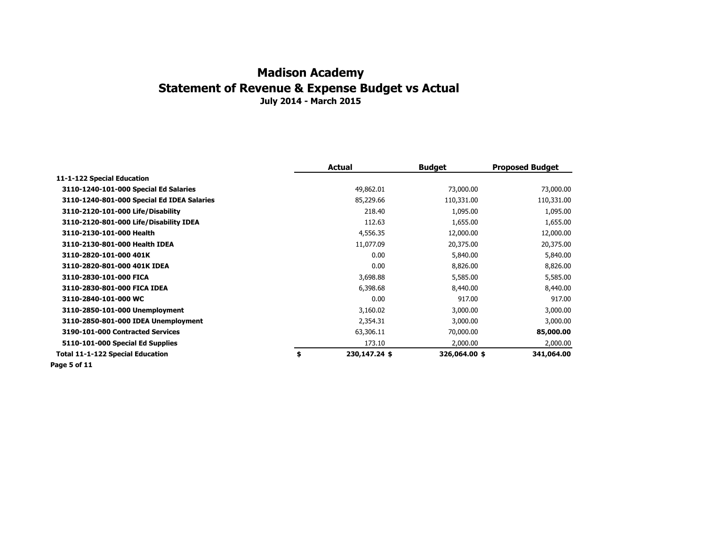|                                            | Actual              | <b>Budget</b> | <b>Proposed Budget</b> |
|--------------------------------------------|---------------------|---------------|------------------------|
| 11-1-122 Special Education                 |                     |               |                        |
| 3110-1240-101-000 Special Ed Salaries      | 49,862.01           | 73,000.00     | 73,000.00              |
| 3110-1240-801-000 Special Ed IDEA Salaries | 85,229.66           | 110,331.00    | 110,331.00             |
| 3110-2120-101-000 Life/Disability          | 218.40              | 1,095.00      | 1,095.00               |
| 3110-2120-801-000 Life/Disability IDEA     | 112.63              | 1,655.00      | 1,655.00               |
| 3110-2130-101-000 Health                   | 4,556.35            | 12,000.00     | 12,000.00              |
| 3110-2130-801-000 Health IDEA              | 11,077.09           | 20,375.00     | 20,375.00              |
| 3110-2820-101-000 401K                     | 0.00                | 5,840.00      | 5,840.00               |
| 3110-2820-801-000 401K IDEA                | 0.00                | 8,826.00      | 8,826.00               |
| 3110-2830-101-000 FICA                     | 3,698.88            | 5,585.00      | 5,585.00               |
| 3110-2830-801-000 FICA IDEA                | 6,398.68            | 8,440.00      | 8,440.00               |
| 3110-2840-101-000 WC                       | 0.00                | 917.00        | 917.00                 |
| 3110-2850-101-000 Unemployment             | 3,160.02            | 3,000.00      | 3,000.00               |
| 3110-2850-801-000 IDEA Unemployment        | 2,354.31            | 3,000.00      | 3,000.00               |
| 3190-101-000 Contracted Services           | 63,306.11           | 70,000.00     | 85,000.00              |
| 5110-101-000 Special Ed Supplies           | 173.10              | 2,000.00      | 2,000.00               |
| <b>Total 11-1-122 Special Education</b>    | \$<br>230,147.24 \$ | 326,064.00 \$ | 341,064.00             |
| .                                          |                     |               |                        |

**Page 5 of 11**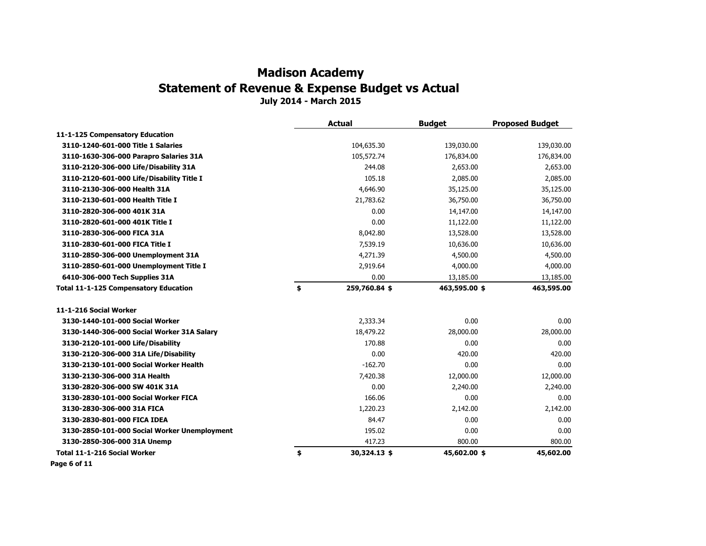**July 2014 - March 2015**

|                                              | <b>Actual</b>       | <b>Budget</b> | <b>Proposed Budget</b> |
|----------------------------------------------|---------------------|---------------|------------------------|
| 11-1-125 Compensatory Education              |                     |               |                        |
| 3110-1240-601-000 Title 1 Salaries           | 104,635.30          | 139,030.00    | 139,030.00             |
| 3110-1630-306-000 Parapro Salaries 31A       | 105,572.74          | 176,834.00    | 176,834.00             |
| 3110-2120-306-000 Life/Disability 31A        | 244.08              | 2,653.00      | 2,653.00               |
| 3110-2120-601-000 Life/Disability Title I    | 105.18              | 2,085.00      | 2,085.00               |
| 3110-2130-306-000 Health 31A                 | 4,646.90            | 35,125.00     | 35,125.00              |
| 3110-2130-601-000 Health Title I             | 21,783.62           | 36,750.00     | 36,750.00              |
| 3110-2820-306-000 401K 31A                   | 0.00                | 14,147.00     | 14,147.00              |
| 3110-2820-601-000 401K Title I               | 0.00                | 11,122.00     | 11,122.00              |
| 3110-2830-306-000 FICA 31A                   | 8,042.80            | 13,528.00     | 13,528.00              |
| 3110-2830-601-000 FICA Title I               | 7,539.19            | 10,636.00     | 10,636.00              |
| 3110-2850-306-000 Unemployment 31A           | 4,271.39            | 4,500.00      | 4,500.00               |
| 3110-2850-601-000 Unemployment Title I       | 2,919.64            | 4,000.00      | 4,000.00               |
| 6410-306-000 Tech Supplies 31A               | 0.00                | 13,185.00     | 13,185.00              |
| <b>Total 11-1-125 Compensatory Education</b> | \$<br>259,760.84 \$ | 463,595.00 \$ | 463,595.00             |
| 11-1-216 Social Worker                       |                     |               |                        |
| 3130-1440-101-000 Social Worker              | 2,333.34            | 0.00          | 0.00                   |
| 3130-1440-306-000 Social Worker 31A Salary   | 18,479.22           | 28,000.00     | 28,000.00              |
| 3130-2120-101-000 Life/Disability            | 170.88              | 0.00          | 0.00                   |
| 3130-2120-306-000 31A Life/Disability        | 0.00                | 420.00        | 420.00                 |
| 3130-2130-101-000 Social Worker Health       | $-162.70$           | 0.00          | 0.00                   |
| 3130-2130-306-000 31A Health                 | 7,420.38            | 12,000.00     | 12,000.00              |
| 3130-2820-306-000 SW 401K 31A                | 0.00                | 2,240.00      | 2,240.00               |
| 3130-2830-101-000 Social Worker FICA         | 166.06              | 0.00          | 0.00                   |
| 3130-2830-306-000 31A FICA                   | 1,220.23            | 2,142.00      | 2,142.00               |
| 3130-2830-801-000 FICA IDEA                  | 84.47               | 0.00          | 0.00                   |
| 3130-2850-101-000 Social Worker Unemployment | 195.02              | 0.00          | 0.00                   |
| 3130-2850-306-000 31A Unemp                  | 417.23              | 800.00        | 800.00                 |
| Total 11-1-216 Social Worker                 | \$<br>30,324.13 \$  | 45,602.00 \$  | 45,602.00              |
|                                              |                     |               |                        |

**Page 6 of 11**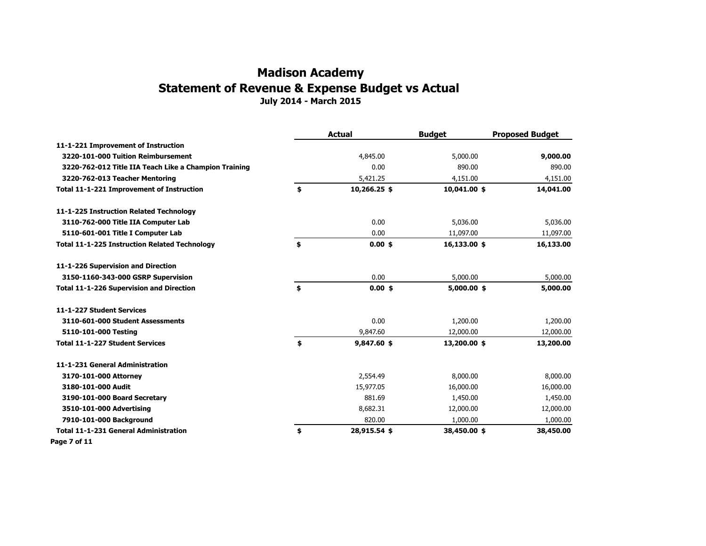**July 2014 - March 2015**

|                                                       | <b>Actual</b>      | <b>Budget</b> | <b>Proposed Budget</b> |
|-------------------------------------------------------|--------------------|---------------|------------------------|
| 11-1-221 Improvement of Instruction                   |                    |               |                        |
| 3220-101-000 Tuition Reimbursement                    | 4,845.00           | 5,000.00      | 9,000.00               |
| 3220-762-012 Title IIA Teach Like a Champion Training | 0.00               | 890.00        | 890.00                 |
| 3220-762-013 Teacher Mentoring                        | 5,421.25           | 4,151.00      | 4,151.00               |
| Total 11-1-221 Improvement of Instruction             | \$<br>10,266.25 \$ | 10,041.00 \$  | 14,041.00              |
| 11-1-225 Instruction Related Technology               |                    |               |                        |
| 3110-762-000 Title IIA Computer Lab                   | 0.00               | 5,036.00      | 5,036.00               |
| 5110-601-001 Title I Computer Lab                     | 0.00               | 11,097.00     | 11,097.00              |
| <b>Total 11-1-225 Instruction Related Technology</b>  | \$<br>$0.00$ \$    | 16,133.00 \$  | 16,133.00              |
| 11-1-226 Supervision and Direction                    |                    |               |                        |
| 3150-1160-343-000 GSRP Supervision                    | 0.00               | 5,000.00      | 5,000.00               |
| <b>Total 11-1-226 Supervision and Direction</b>       | \$<br>$0.00$ \$    | $5,000.00$ \$ | 5,000.00               |
| 11-1-227 Student Services                             |                    |               |                        |
| 3110-601-000 Student Assessments                      | 0.00               | 1,200.00      | 1,200.00               |
| 5110-101-000 Testing                                  | 9,847.60           | 12,000.00     | 12,000.00              |
| <b>Total 11-1-227 Student Services</b>                | \$<br>9,847.60 \$  | 13,200.00 \$  | 13,200.00              |
| 11-1-231 General Administration                       |                    |               |                        |
| 3170-101-000 Attorney                                 | 2,554.49           | 8,000.00      | 8,000.00               |
| 3180-101-000 Audit                                    | 15,977.05          | 16,000.00     | 16,000.00              |
| 3190-101-000 Board Secretary                          | 881.69             | 1,450.00      | 1,450.00               |
| 3510-101-000 Advertising                              | 8,682.31           | 12,000.00     | 12,000.00              |
| 7910-101-000 Background                               | 820.00             | 1,000.00      | 1,000.00               |
| <b>Total 11-1-231 General Administration</b>          | \$<br>28,915.54 \$ | 38,450.00 \$  | 38,450.00              |
| Page 7 of 11                                          |                    |               |                        |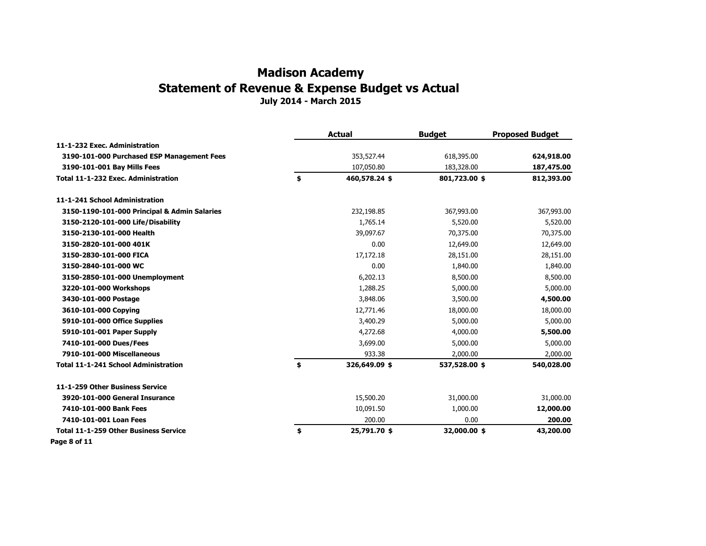**July 2014 - March 2015**

|                                                                    | <b>Actual</b>                     | <b>Budget</b>               | <b>Proposed Budget</b>   |
|--------------------------------------------------------------------|-----------------------------------|-----------------------------|--------------------------|
| 11-1-232 Exec. Administration                                      |                                   |                             |                          |
| 3190-101-000 Purchased ESP Management Fees                         | 353,527.44                        | 618,395.00                  | 624,918.00               |
| 3190-101-001 Bay Mills Fees<br>Total 11-1-232 Exec. Administration | \$<br>107,050.80<br>460,578.24 \$ | 183,328.00<br>801,723.00 \$ | 187,475.00<br>812,393.00 |
|                                                                    |                                   |                             |                          |
| 3150-1190-101-000 Principal & Admin Salaries                       | 232,198.85                        | 367,993.00                  | 367,993.00               |
| 3150-2120-101-000 Life/Disability                                  | 1,765.14                          | 5,520.00                    | 5,520.00                 |
| 3150-2130-101-000 Health                                           | 39,097.67                         | 70,375.00                   | 70,375.00                |
| 3150-2820-101-000 401K                                             | 0.00                              | 12,649.00                   | 12,649.00                |
| 3150-2830-101-000 FICA                                             | 17,172.18                         | 28,151.00                   | 28,151.00                |
| 3150-2840-101-000 WC                                               | 0.00                              | 1,840.00                    | 1,840.00                 |
| 3150-2850-101-000 Unemployment                                     | 6,202.13                          | 8,500.00                    | 8,500.00                 |
| 3220-101-000 Workshops                                             | 1,288.25                          | 5,000.00                    | 5,000.00                 |
| 3430-101-000 Postage                                               | 3,848.06                          | 3,500.00                    | 4,500.00                 |
| 3610-101-000 Copying                                               | 12,771.46                         | 18,000.00                   | 18,000.00                |
| 5910-101-000 Office Supplies                                       | 3,400.29                          | 5,000.00                    | 5,000.00                 |
| 5910-101-001 Paper Supply                                          | 4,272.68                          | 4,000.00                    | 5,500.00                 |
| 7410-101-000 Dues/Fees                                             | 3,699.00                          | 5,000.00                    | 5,000.00                 |
| 7910-101-000 Miscellaneous                                         | 933.38                            | 2,000.00                    | 2,000.00                 |
| <b>Total 11-1-241 School Administration</b>                        | \$<br>326,649.09 \$               | 537,528.00 \$               | 540,028.00               |
| 11-1-259 Other Business Service                                    |                                   |                             |                          |
| 3920-101-000 General Insurance                                     | 15,500.20                         | 31,000.00                   | 31,000.00                |
| 7410-101-000 Bank Fees                                             | 10,091.50                         | 1,000.00                    | 12,000.00                |
| 7410-101-001 Loan Fees                                             | 200.00                            | 0.00                        | 200.00                   |
| <b>Total 11-1-259 Other Business Service</b>                       | \$<br>25,791.70 \$                | 32,000.00 \$                | 43,200.00                |
| Page 8 of 11                                                       |                                   |                             |                          |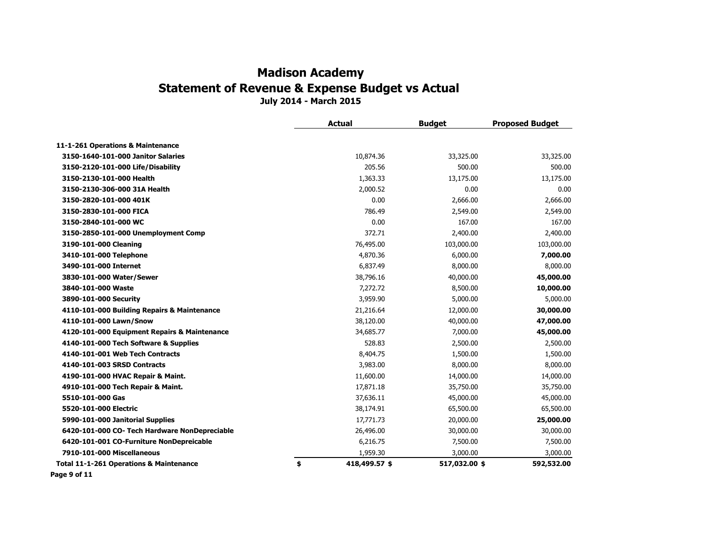**July 2014 - March 2015**

|                                                    | <b>Actual</b>       | <b>Budget</b> | <b>Proposed Budget</b> |
|----------------------------------------------------|---------------------|---------------|------------------------|
| 11-1-261 Operations & Maintenance                  |                     |               |                        |
| 3150-1640-101-000 Janitor Salaries                 | 10,874.36           | 33,325.00     | 33,325.00              |
| 3150-2120-101-000 Life/Disability                  | 205.56              | 500.00        | 500.00                 |
| 3150-2130-101-000 Health                           | 1,363.33            | 13,175.00     | 13,175.00              |
| 3150-2130-306-000 31A Health                       | 2,000.52            | 0.00          | 0.00                   |
| 3150-2820-101-000 401K                             | 0.00                | 2,666.00      | 2,666.00               |
| 3150-2830-101-000 FICA                             | 786.49              | 2,549.00      | 2,549.00               |
| 3150-2840-101-000 WC                               | 0.00                | 167.00        | 167.00                 |
| 3150-2850-101-000 Unemployment Comp                | 372.71              | 2,400.00      | 2,400.00               |
| 3190-101-000 Cleaning                              | 76,495.00           | 103,000.00    | 103,000.00             |
| 3410-101-000 Telephone                             | 4,870.36            | 6,000.00      | 7,000.00               |
| 3490-101-000 Internet                              | 6,837.49            | 8,000.00      | 8,000.00               |
| 3830-101-000 Water/Sewer                           | 38,796.16           | 40,000.00     | 45,000.00              |
| 3840-101-000 Waste                                 | 7,272.72            | 8,500.00      | 10,000.00              |
| 3890-101-000 Security                              | 3,959.90            | 5,000.00      | 5,000.00               |
| 4110-101-000 Building Repairs & Maintenance        | 21,216.64           | 12,000.00     | 30,000.00              |
| 4110-101-000 Lawn/Snow                             | 38,120.00           | 40,000.00     | 47,000.00              |
| 4120-101-000 Equipment Repairs & Maintenance       | 34,685.77           | 7,000.00      | 45,000.00              |
| 4140-101-000 Tech Software & Supplies              | 528.83              | 2,500.00      | 2,500.00               |
| 4140-101-001 Web Tech Contracts                    | 8,404.75            | 1,500.00      | 1,500.00               |
| 4140-101-003 SRSD Contracts                        | 3,983.00            | 8,000.00      | 8,000.00               |
| 4190-101-000 HVAC Repair & Maint.                  | 11,600.00           | 14,000.00     | 14,000.00              |
| 4910-101-000 Tech Repair & Maint.                  | 17,871.18           | 35,750.00     | 35,750.00              |
| 5510-101-000 Gas                                   | 37,636.11           | 45,000.00     | 45,000.00              |
| 5520-101-000 Electric                              | 38,174.91           | 65,500.00     | 65,500.00              |
| 5990-101-000 Janitorial Supplies                   | 17,771.73           | 20,000.00     | 25,000.00              |
| 6420-101-000 CO- Tech Hardware NonDepreciable      | 26,496.00           | 30,000.00     | 30,000.00              |
| 6420-101-001 CO-Furniture NonDepreicable           | 6,216.75            | 7,500.00      | 7,500.00               |
| 7910-101-000 Miscellaneous                         | 1,959.30            | 3,000.00      | 3,000.00               |
| <b>Total 11-1-261 Operations &amp; Maintenance</b> | \$<br>418,499.57 \$ | 517,032.00 \$ | 592,532.00             |
| Page 9 of 11                                       |                     |               |                        |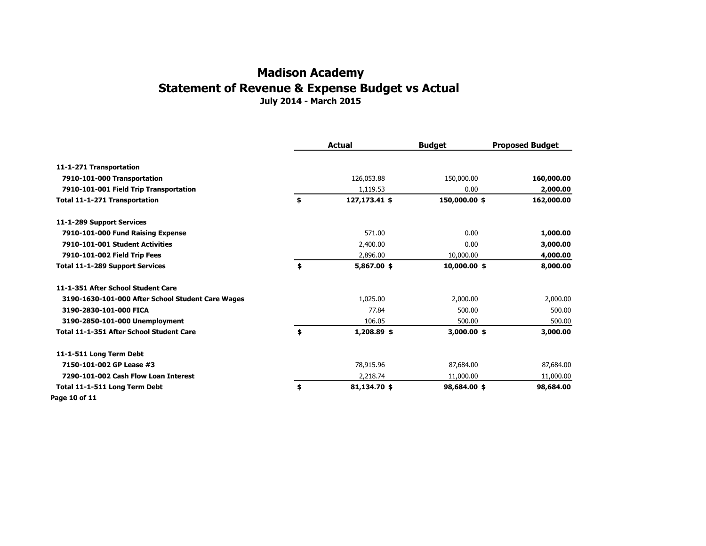#### **July 2014 - March 2015 Madison Academy Statement of Revenue & Expense Budget vs Actual**

**Actual Budget Proposed Budget 11-1-271 Transportation 7910-101-000 Transportation** 126,053.88 150,000.00 **160,000.00 7910-101-001 Field Trip Transportation** 1,119.53 0.00 **2,000.00 Total 11-1-271 Transportation \$ 127,173.41 \$ 150,000.00 \$ 162,000.00 11-1-289 Support Services 7910-101-000 Fund Raising Expense** 571.00 0.00 **1,000.00 7910-101-001 Student Activities** 2,400.00 0.00 **3,000.00 7910-101-002 Field Trip Fees** 2,896.00 10,000.00 **4,000.00 Total 11-1-289 Support Services \$ 5,867.00 \$ 10,000.00 \$ 8,000.00 11-1-351 After School Student Care 3190-1630-101-000 After School Student Care Wages** 1,025.00 2,000.00 2,000.00 **3190-2830-101-000 FICA** 500.00 500.00 500.00 500.00 500.00 500.00 500.00 500.00 500.00 500.00 500.00 500.00 500  **3190-2850-101-000 Unemployment** 106.05 500.00 500.00  **Total 11-1-351 After School Student Care \$ 1,208.89 \$ 3,000.00 \$ 3,000.00 11-1-511 Long Term Debt 7150-101-002 GP Lease #3** 87,684.00 87,684.00 87,684.00 87,684.00 **87,684.00 7290-101-002 Cash Flow Loan Interest** 2,218.74 11,000.00 11,000.00  **Total 11-1-511 Long Term Debt \$ 81,134.70 \$ 98,684.00 \$ 98,684.00 Page 10 of 11**